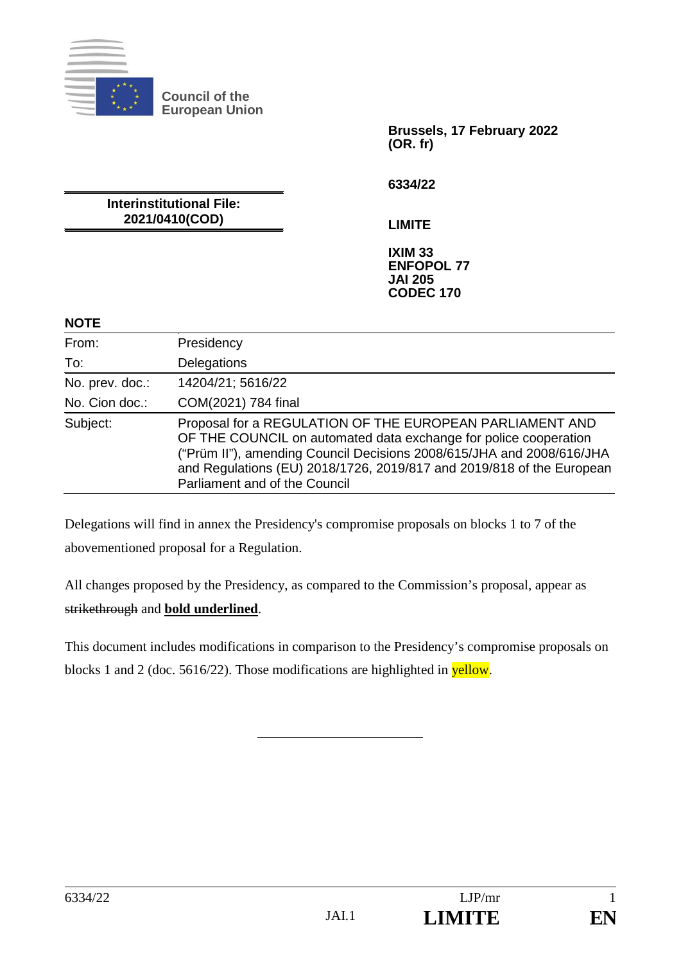

**Brussels, 17 February 2022 (OR. fr)**

**6334/22**

**Interinstitutional File: 2021/0410(COD)**

**LIMITE**

**IXIM 33 ENFOPOL 77 JAI 205 CODEC 170**

#### **NOTE**

| From:           | Presidency                                                                                                                                                                                                                                                                                                      |
|-----------------|-----------------------------------------------------------------------------------------------------------------------------------------------------------------------------------------------------------------------------------------------------------------------------------------------------------------|
| To:             | Delegations                                                                                                                                                                                                                                                                                                     |
| No. prev. doc.: | 14204/21; 5616/22                                                                                                                                                                                                                                                                                               |
| No. Cion doc.:  | COM(2021) 784 final                                                                                                                                                                                                                                                                                             |
| Subject:        | Proposal for a REGULATION OF THE EUROPEAN PARLIAMENT AND<br>OF THE COUNCIL on automated data exchange for police cooperation<br>("Prüm II"), amending Council Decisions 2008/615/JHA and 2008/616/JHA<br>and Regulations (EU) 2018/1726, 2019/817 and 2019/818 of the European<br>Parliament and of the Council |

Delegations will find in annex the Presidency's compromise proposals on blocks 1 to 7 of the abovementioned proposal for a Regulation.

All changes proposed by the Presidency, as compared to the Commission's proposal, appear as strikethrough and **bold underlined**.

This document includes modifications in comparison to the Presidency's compromise proposals on blocks 1 and 2 (doc. 5616/22). Those modifications are highlighted in yellow.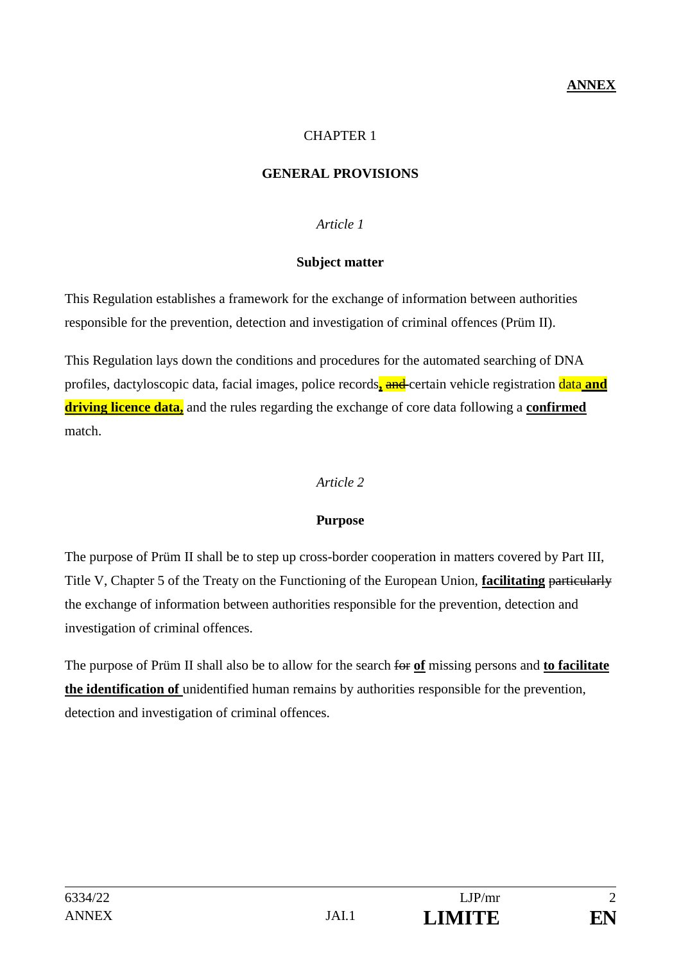### **ANNEX**

### CHAPTER 1

### **GENERAL PROVISIONS**

### *Article 1*

#### **Subject matter**

This Regulation establishes a framework for the exchange of information between authorities responsible for the prevention, detection and investigation of criminal offences (Prüm II).

This Regulation lays down the conditions and procedures for the automated searching of DNA profiles, dactyloscopic data, facial images, police records**,** and certain vehicle registration data **and driving licence data,** and the rules regarding the exchange of core data following a **confirmed** match.

### *Article 2*

### **Purpose**

The purpose of Prüm II shall be to step up cross-border cooperation in matters covered by Part III, Title V, Chapter 5 of the Treaty on the Functioning of the European Union, **facilitating** particularly the exchange of information between authorities responsible for the prevention, detection and investigation of criminal offences.

The purpose of Prüm II shall also be to allow for the search for **of** missing persons and **to facilitate the identification of** unidentified human remains by authorities responsible for the prevention, detection and investigation of criminal offences.

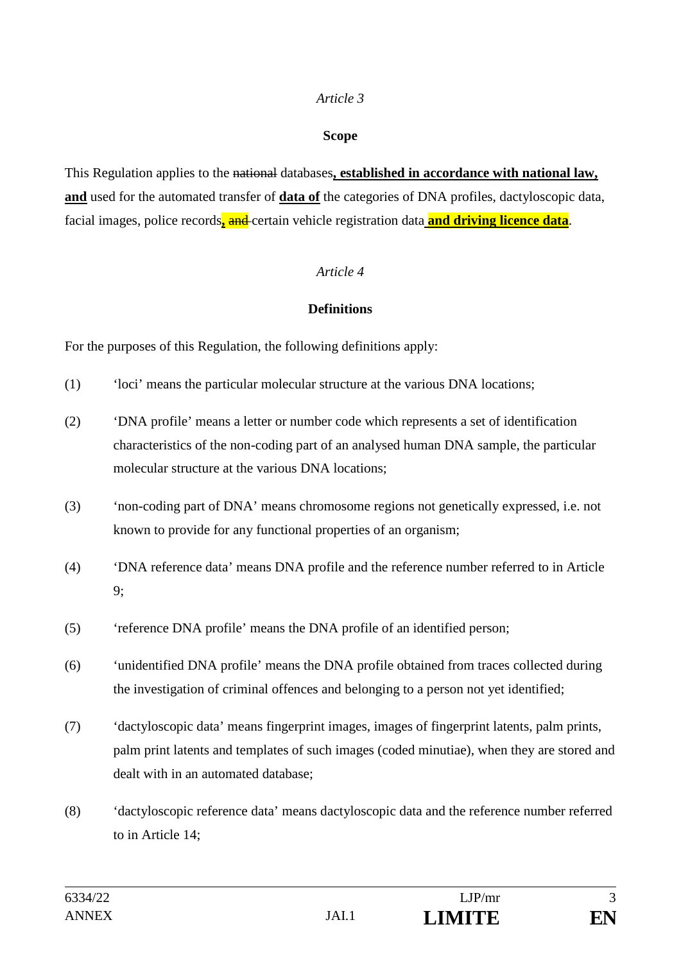#### **Scope**

This Regulation applies to the national databases**, established in accordance with national law, and** used for the automated transfer of **data of** the categories of DNA profiles, dactyloscopic data, facial images, police records**,** and certain vehicle registration data **and driving licence data**.

### *Article 4*

### **Definitions**

For the purposes of this Regulation, the following definitions apply:

- (1) 'loci' means the particular molecular structure at the various DNA locations;
- (2) 'DNA profile' means a letter or number code which represents a set of identification characteristics of the non-coding part of an analysed human DNA sample, the particular molecular structure at the various DNA locations;
- (3) 'non-coding part of DNA' means chromosome regions not genetically expressed, i.e. not known to provide for any functional properties of an organism;
- (4) 'DNA reference data' means DNA profile and the reference number referred to in Article 9;
- (5) 'reference DNA profile' means the DNA profile of an identified person;
- (6) 'unidentified DNA profile' means the DNA profile obtained from traces collected during the investigation of criminal offences and belonging to a person not yet identified;
- (7) 'dactyloscopic data' means fingerprint images, images of fingerprint latents, palm prints, palm print latents and templates of such images (coded minutiae), when they are stored and dealt with in an automated database;
- (8) 'dactyloscopic reference data' means dactyloscopic data and the reference number referred to in Article 14;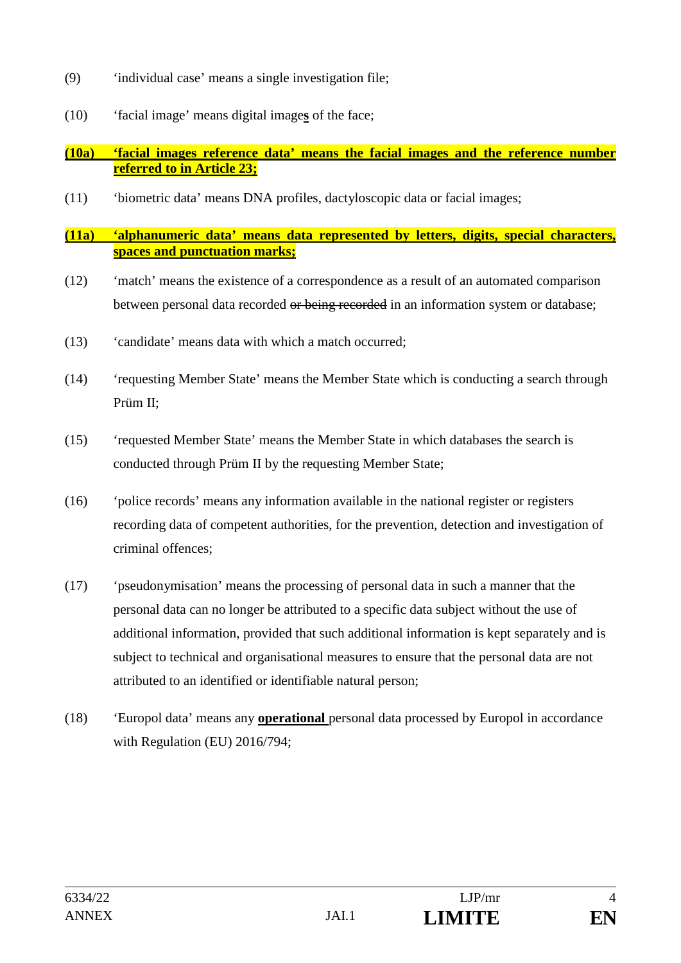- (9) 'individual case' means a single investigation file;
- (10) 'facial image' means digital image**s** of the face;

### **(10a) 'facial images reference data' means the facial images and the reference number referred to in Article 23;**

(11) 'biometric data' means DNA profiles, dactyloscopic data or facial images;

### **(11a) 'alphanumeric data' means data represented by letters, digits, special characters, spaces and punctuation marks;**

- (12) 'match' means the existence of a correspondence as a result of an automated comparison between personal data recorded or being recorded in an information system or database;
- (13) 'candidate' means data with which a match occurred;
- (14) 'requesting Member State' means the Member State which is conducting a search through Prüm II;
- (15) 'requested Member State' means the Member State in which databases the search is conducted through Prüm II by the requesting Member State;
- (16) 'police records' means any information available in the national register or registers recording data of competent authorities, for the prevention, detection and investigation of criminal offences;
- (17) 'pseudonymisation' means the processing of personal data in such a manner that the personal data can no longer be attributed to a specific data subject without the use of additional information, provided that such additional information is kept separately and is subject to technical and organisational measures to ensure that the personal data are not attributed to an identified or identifiable natural person;
- (18) 'Europol data' means any **operational** personal data processed by Europol in accordance with Regulation (EU) 2016/794;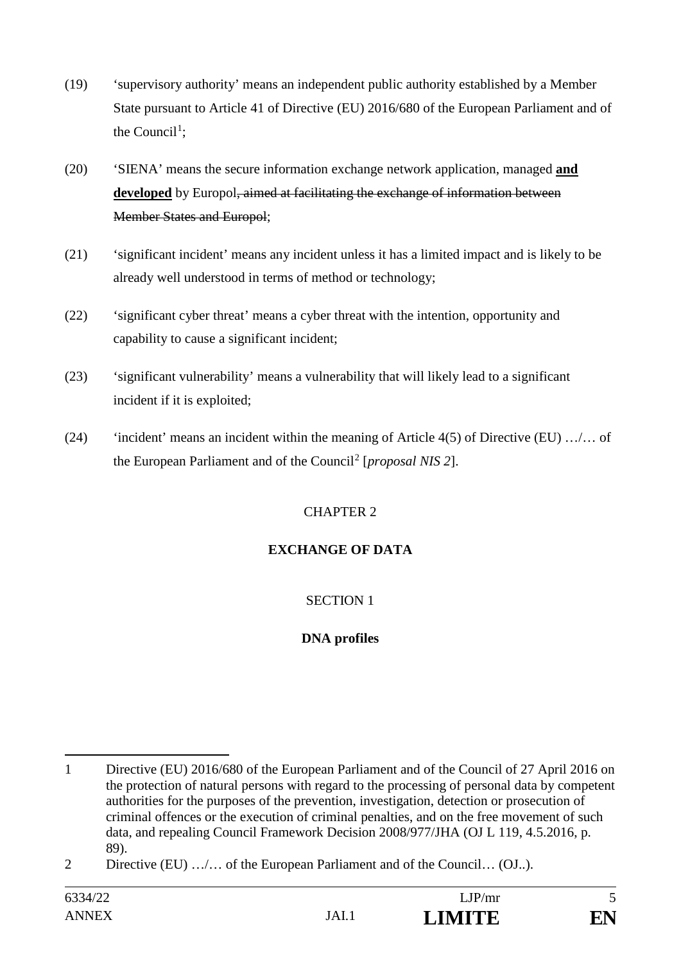- (19) 'supervisory authority' means an independent public authority established by a Member State pursuant to Article 41 of Directive (EU) 2016/680 of the European Parliament and of the Council<sup>1</sup>;
- (20) 'SIENA' means the secure information exchange network application, managed **and developed** by Europol, aimed at facilitating the exchange of information between Member States and Europol;
- (21) 'significant incident' means any incident unless it has a limited impact and is likely to be already well understood in terms of method or technology;
- (22) 'significant cyber threat' means a cyber threat with the intention, opportunity and capability to cause a significant incident;
- (23) 'significant vulnerability' means a vulnerability that will likely lead to a significant incident if it is exploited;
- (24) 'incident' means an incident within the meaning of Article 4(5) of Directive (EU)  $\dots$ ... of the European Parliament and of the Council<sup>2</sup> [*proposal NIS* 2].

### CHAPTER 2

### **EXCHANGE OF DATA**

### SECTION 1

# **DNA profiles**

<sup>&</sup>lt;u>.</u> 1 Directive (EU) 2016/680 of the European Parliament and of the Council of 27 April 2016 on the protection of natural persons with regard to the processing of personal data by competent authorities for the purposes of the prevention, investigation, detection or prosecution of criminal offences or the execution of criminal penalties, and on the free movement of such data, and repealing Council Framework Decision 2008/977/JHA (OJ L 119, 4.5.2016, p. 89).

<sup>2</sup> Directive (EU) .../... of the European Parliament and of the Council... (OJ..).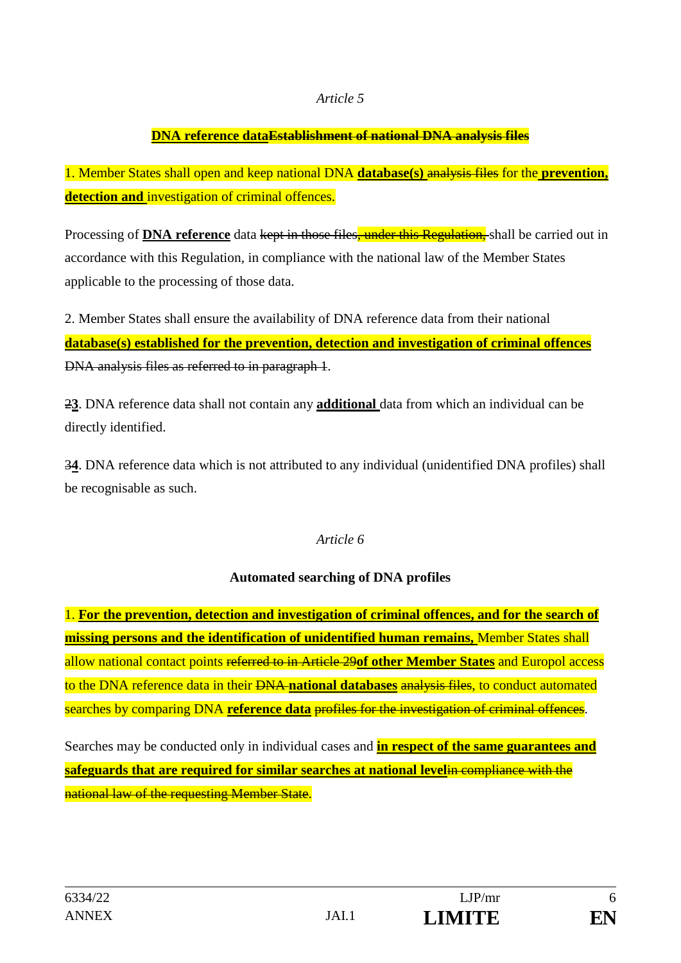### **DNA reference dataEstablishment of national DNA analysis files**

1. Member States shall open and keep national DNA **database(s)** analysis files for the **prevention, detection and** investigation of criminal offences.

Processing of **DNA reference** data kept in those files, under this Regulation, shall be carried out in accordance with this Regulation, in compliance with the national law of the Member States applicable to the processing of those data.

2. Member States shall ensure the availability of DNA reference data from their national **database(s) established for the prevention, detection and investigation of criminal offences**  DNA analysis files as referred to in paragraph 1.

2**3**. DNA reference data shall not contain any **additional** data from which an individual can be directly identified.

3**4**. DNA reference data which is not attributed to any individual (unidentified DNA profiles) shall be recognisable as such.

### *Article 6*

### **Automated searching of DNA profiles**

1. **For the prevention, detection and investigation of criminal offences, and for the search of missing persons and the identification of unidentified human remains,** Member States shall allow national contact points referred to in Article 29**of other Member States** and Europol access to the DNA reference data in their DNA **national databases** analysis files, to conduct automated searches by comparing DNA **reference data** profiles for the investigation of criminal offences.

Searches may be conducted only in individual cases and **in respect of the same guarantees and safeguards that are required for similar searches at national level**in compliance with the national law of the requesting Member State.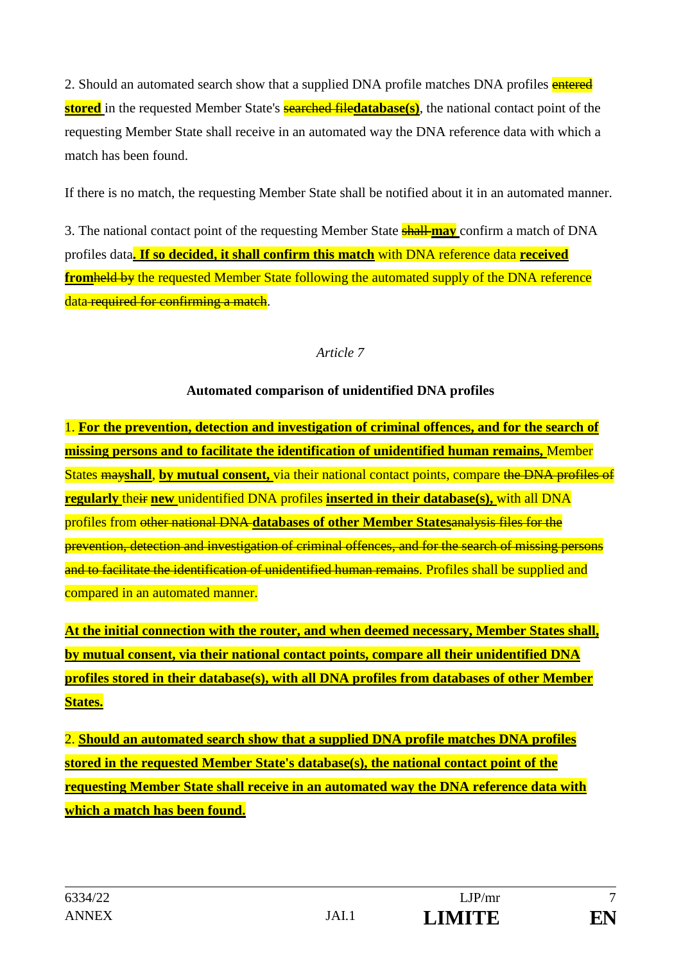2. Should an automated search show that a supplied DNA profile matches DNA profiles entered **stored** in the requested Member State's **searched filedatabase(s)**, the national contact point of the requesting Member State shall receive in an automated way the DNA reference data with which a match has been found.

If there is no match, the requesting Member State shall be notified about it in an automated manner.

3. The national contact point of the requesting Member State shall **may** confirm a match of DNA profiles data**. If so decided, it shall confirm this match** with DNA reference data **received fromheld by** the requested Member State following the automated supply of the DNA reference data required for confirming a match.

### *Article 7*

### **Automated comparison of unidentified DNA profiles**

1. **For the prevention, detection and investigation of criminal offences, and for the search of missing persons and to facilitate the identification of unidentified human remains,** Member States may**shall**, **by mutual consent,** via their national contact points, compare the DNA profiles of **regularly** their **new** unidentified DNA profiles **inserted in their database(s),** with all DNA profiles from other national DNA **databases of other Member States**analysis files for the prevention, detection and investigation of criminal offences, and for the search of missing persons and to facilitate the identification of unidentified human remains. Profiles shall be supplied and compared in an automated manner.

**At the initial connection with the router, and when deemed necessary, Member States shall, by mutual consent, via their national contact points, compare all their unidentified DNA profiles stored in their database(s), with all DNA profiles from databases of other Member States.**

2. **Should an automated search show that a supplied DNA profile matches DNA profiles stored in the requested Member State's database(s), the national contact point of the requesting Member State shall receive in an automated way the DNA reference data with which a match has been found.**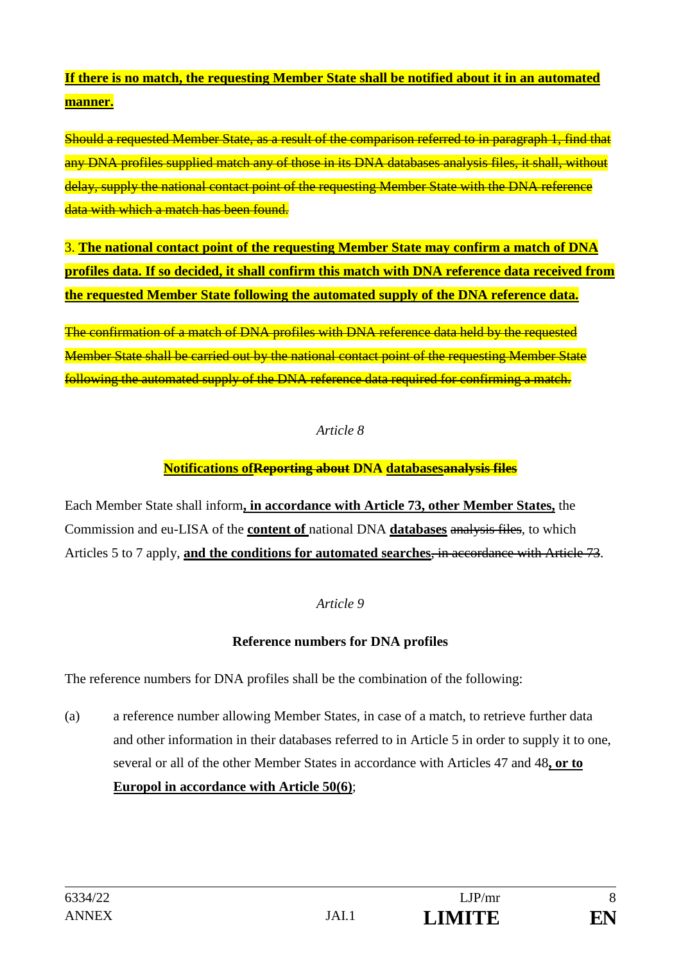# **If there is no match, the requesting Member State shall be notified about it in an automated manner.**

Should a requested Member State, as a result of the comparison referred to in paragraph 1, find that any DNA profiles supplied match any of those in its DNA databases analysis files, it shall, without delay, supply the national contact point of the requesting Member State with the DNA reference data with which a match has been found.

3. **The national contact point of the requesting Member State may confirm a match of DNA profiles data. If so decided, it shall confirm this match with DNA reference data received from the requested Member State following the automated supply of the DNA reference data.**

The confirmation of a match of DNA profiles with DNA reference data held by the requested Member State shall be carried out by the national contact point of the requesting Member State following the automated supply of the DNA reference data required for confirming a match.

### *Article 8*

### **Notifications ofReporting about DNA databasesanalysis files**

Each Member State shall inform**, in accordance with Article 73, other Member States,** the Commission and eu-LISA of the **content of** national DNA **databases** analysis files, to which Articles 5 to 7 apply, **and the conditions for automated searches**, in accordance with Article 73.

### *Article 9*

### **Reference numbers for DNA profiles**

The reference numbers for DNA profiles shall be the combination of the following:

(a) a reference number allowing Member States, in case of a match, to retrieve further data and other information in their databases referred to in Article 5 in order to supply it to one, several or all of the other Member States in accordance with Articles 47 and 48**, or to Europol in accordance with Article 50(6)**;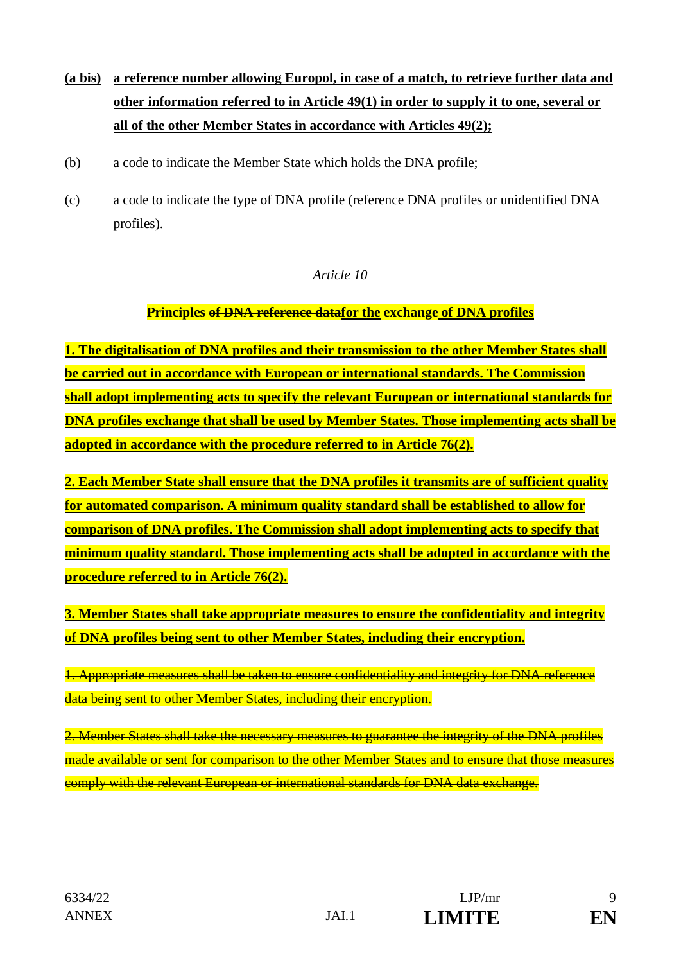- **(a bis) a reference number allowing Europol, in case of a match, to retrieve further data and other information referred to in Article 49(1) in order to supply it to one, several or all of the other Member States in accordance with Articles 49(2);**
- (b) a code to indicate the Member State which holds the DNA profile;
- (c) a code to indicate the type of DNA profile (reference DNA profiles or unidentified DNA profiles).

### **Principles of DNA reference datafor the exchange of DNA profiles**

**1. The digitalisation of DNA profiles and their transmission to the other Member States shall be carried out in accordance with European or international standards. The Commission shall adopt implementing acts to specify the relevant European or international standards for DNA profiles exchange that shall be used by Member States. Those implementing acts shall be adopted in accordance with the procedure referred to in Article 76(2).**

**2. Each Member State shall ensure that the DNA profiles it transmits are of sufficient quality for automated comparison. A minimum quality standard shall be established to allow for comparison of DNA profiles. The Commission shall adopt implementing acts to specify that minimum quality standard. Those implementing acts shall be adopted in accordance with the procedure referred to in Article 76(2).**

**3. Member States shall take appropriate measures to ensure the confidentiality and integrity of DNA profiles being sent to other Member States, including their encryption.**

1. Appropriate measures shall be taken to ensure confidentiality and integrity for DNA reference data being sent to other Member States, including their encryption.

2. Member States shall take the necessary measures to guarantee the integrity of the DNA profiles made available or sent for comparison to the other Member States and to ensure that those measures comply with the relevant European or international standards for DNA data exchange.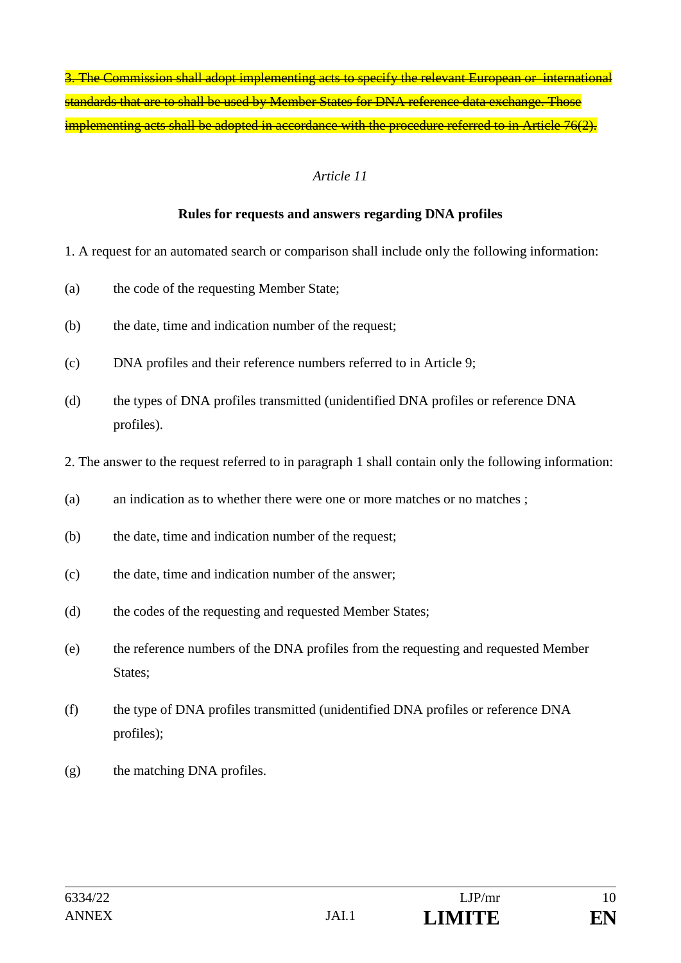3. The Commission shall adopt implementing acts to specify the relevant European or international standards that are to shall be used by Member States for DNA reference data exchange. Those implementing acts shall be adopted in accordance with the procedure referred to in Article 76(2).

#### *Article 11*

#### **Rules for requests and answers regarding DNA profiles**

- 1. A request for an automated search or comparison shall include only the following information:
- (a) the code of the requesting Member State;
- (b) the date, time and indication number of the request;
- (c) DNA profiles and their reference numbers referred to in Article 9;
- (d) the types of DNA profiles transmitted (unidentified DNA profiles or reference DNA profiles).
- 2. The answer to the request referred to in paragraph 1 shall contain only the following information:
- (a) an indication as to whether there were one or more matches or no matches ;
- (b) the date, time and indication number of the request;
- (c) the date, time and indication number of the answer;
- (d) the codes of the requesting and requested Member States;
- (e) the reference numbers of the DNA profiles from the requesting and requested Member States:
- (f) the type of DNA profiles transmitted (unidentified DNA profiles or reference DNA profiles);
- (g) the matching DNA profiles.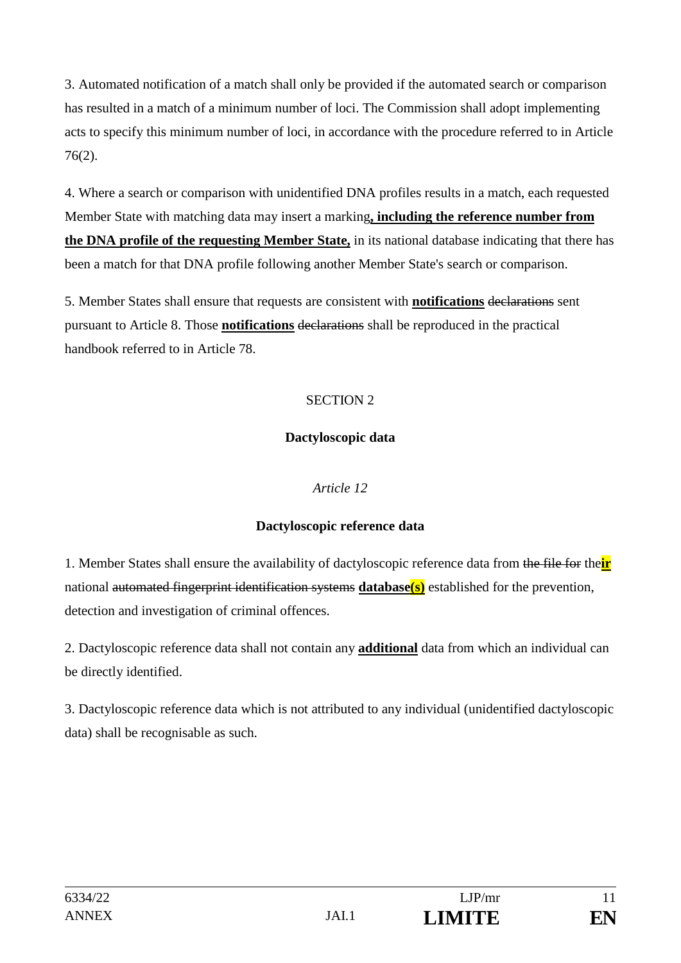3. Automated notification of a match shall only be provided if the automated search or comparison has resulted in a match of a minimum number of loci. The Commission shall adopt implementing acts to specify this minimum number of loci, in accordance with the procedure referred to in Article 76(2).

4. Where a search or comparison with unidentified DNA profiles results in a match, each requested Member State with matching data may insert a marking**, including the reference number from the DNA profile of the requesting Member State,** in its national database indicating that there has been a match for that DNA profile following another Member State's search or comparison.

5. Member States shall ensure that requests are consistent with **notifications** declarations sent pursuant to Article 8. Those **notifications** declarations shall be reproduced in the practical handbook referred to in Article 78.

### SECTION 2

### **Dactyloscopic data**

### *Article 12*

### **Dactyloscopic reference data**

1. Member States shall ensure the availability of dactyloscopic reference data from the file for the**ir** national automated fingerprint identification systems **database(s)** established for the prevention, detection and investigation of criminal offences.

2. Dactyloscopic reference data shall not contain any **additional** data from which an individual can be directly identified.

3. Dactyloscopic reference data which is not attributed to any individual (unidentified dactyloscopic data) shall be recognisable as such.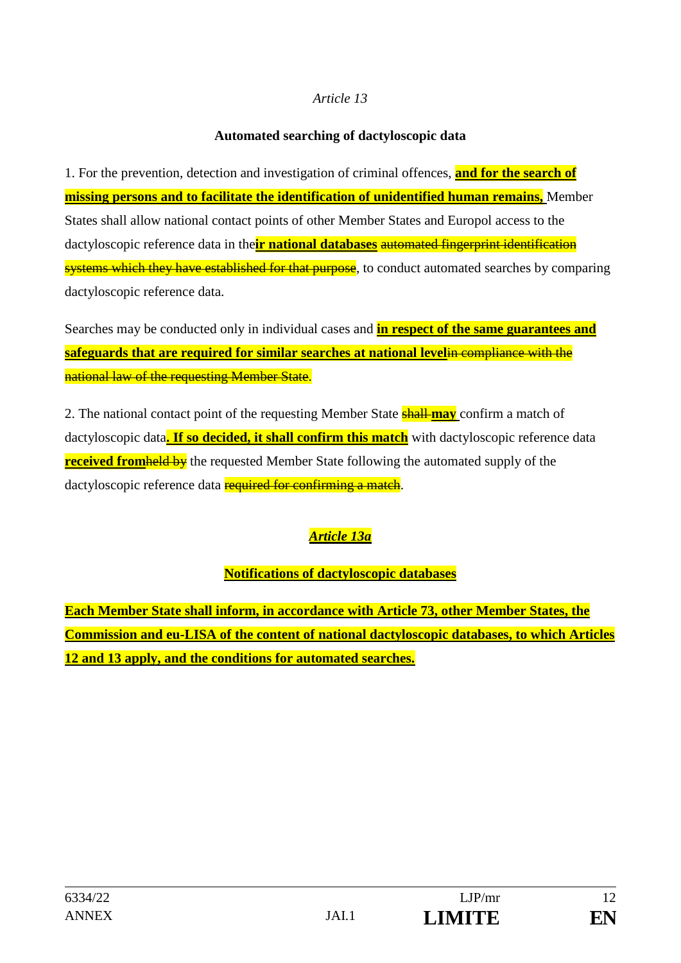#### **Automated searching of dactyloscopic data**

1. For the prevention, detection and investigation of criminal offences, **and for the search of missing persons and to facilitate the identification of unidentified human remains,** Member States shall allow national contact points of other Member States and Europol access to the dactyloscopic reference data in the**ir national databases** automated fingerprint identification systems which they have established for that purpose, to conduct automated searches by comparing dactyloscopic reference data.

Searches may be conducted only in individual cases and **in respect of the same guarantees and safeguards that are required for similar searches at national level**in compliance with the national law of the requesting Member State.

2. The national contact point of the requesting Member State shall **may** confirm a match of dactyloscopic data**. If so decided, it shall confirm this match** with dactyloscopic reference data **received from held by** the requested Member State following the automated supply of the dactyloscopic reference data **required for confirming a match**.

# *Article 13a*

### **Notifications of dactyloscopic databases**

**Each Member State shall inform, in accordance with Article 73, other Member States, the Commission and eu-LISA of the content of national dactyloscopic databases, to which Articles 12 and 13 apply, and the conditions for automated searches.**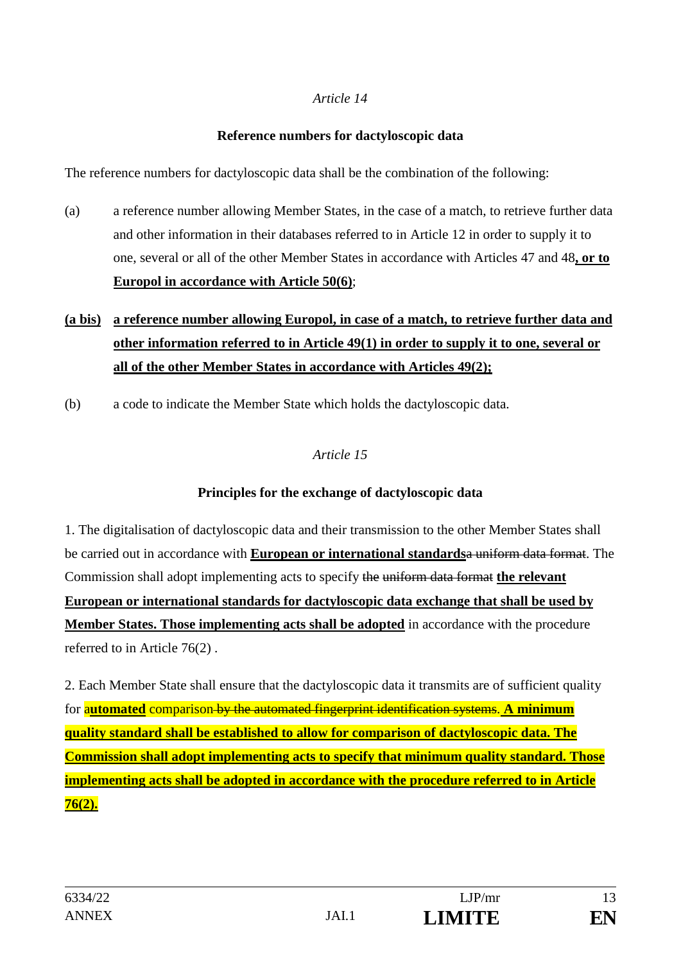#### **Reference numbers for dactyloscopic data**

The reference numbers for dactyloscopic data shall be the combination of the following:

(a) a reference number allowing Member States, in the case of a match, to retrieve further data and other information in their databases referred to in Article 12 in order to supply it to one, several or all of the other Member States in accordance with Articles 47 and 48**, or to Europol in accordance with Article 50(6)**;

# **(a bis) a reference number allowing Europol, in case of a match, to retrieve further data and other information referred to in Article 49(1) in order to supply it to one, several or all of the other Member States in accordance with Articles 49(2);**

(b) a code to indicate the Member State which holds the dactyloscopic data.

### *Article 15*

### **Principles for the exchange of dactyloscopic data**

1. The digitalisation of dactyloscopic data and their transmission to the other Member States shall be carried out in accordance with **European or international standards**a uniform data format. The Commission shall adopt implementing acts to specify the uniform data format **the relevant European or international standards for dactyloscopic data exchange that shall be used by Member States. Those implementing acts shall be adopted** in accordance with the procedure referred to in Article 76(2) .

2. Each Member State shall ensure that the dactyloscopic data it transmits are of sufficient quality for a**utomated** comparison by the automated fingerprint identification systems. **A minimum quality standard shall be established to allow for comparison of dactyloscopic data. The Commission shall adopt implementing acts to specify that minimum quality standard. Those implementing acts shall be adopted in accordance with the procedure referred to in Article 76(2).**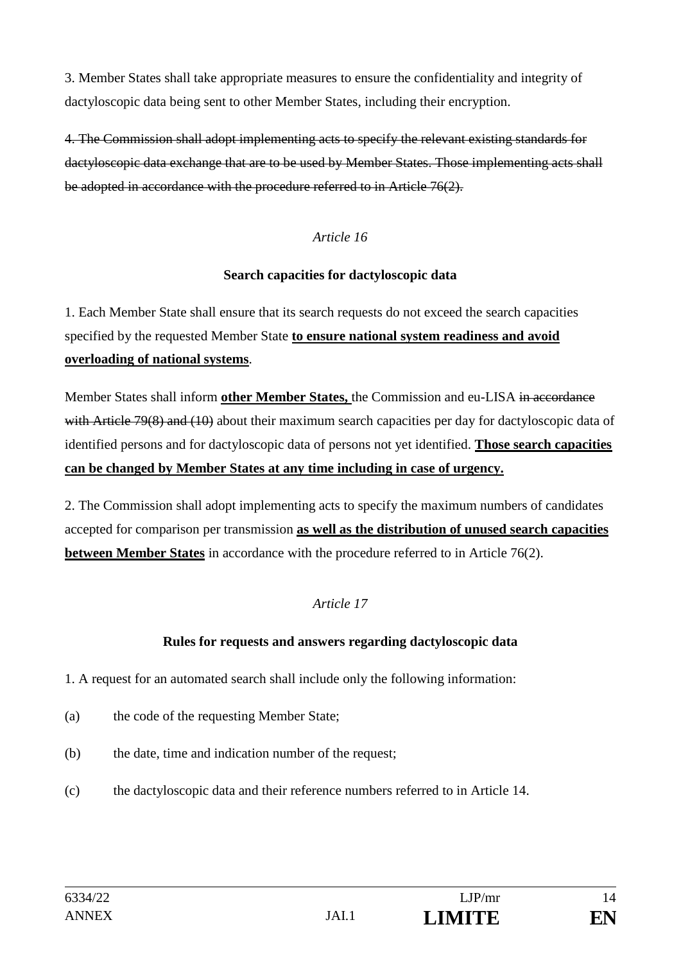3. Member States shall take appropriate measures to ensure the confidentiality and integrity of dactyloscopic data being sent to other Member States, including their encryption.

4. The Commission shall adopt implementing acts to specify the relevant existing standards for dactyloscopic data exchange that are to be used by Member States. Those implementing acts shall be adopted in accordance with the procedure referred to in Article 76(2).

#### *Article 16*

#### **Search capacities for dactyloscopic data**

1. Each Member State shall ensure that its search requests do not exceed the search capacities specified by the requested Member State **to ensure national system readiness and avoid overloading of national systems**.

Member States shall inform **other Member States,** the Commission and eu-LISA in accordance with Article 79(8) and (10) about their maximum search capacities per day for dactyloscopic data of identified persons and for dactyloscopic data of persons not yet identified. **Those search capacities can be changed by Member States at any time including in case of urgency.**

2. The Commission shall adopt implementing acts to specify the maximum numbers of candidates accepted for comparison per transmission **as well as the distribution of unused search capacities between Member States** in accordance with the procedure referred to in Article 76(2).

### *Article 17*

### **Rules for requests and answers regarding dactyloscopic data**

1. A request for an automated search shall include only the following information:

- (a) the code of the requesting Member State;
- (b) the date, time and indication number of the request;
- (c) the dactyloscopic data and their reference numbers referred to in Article 14.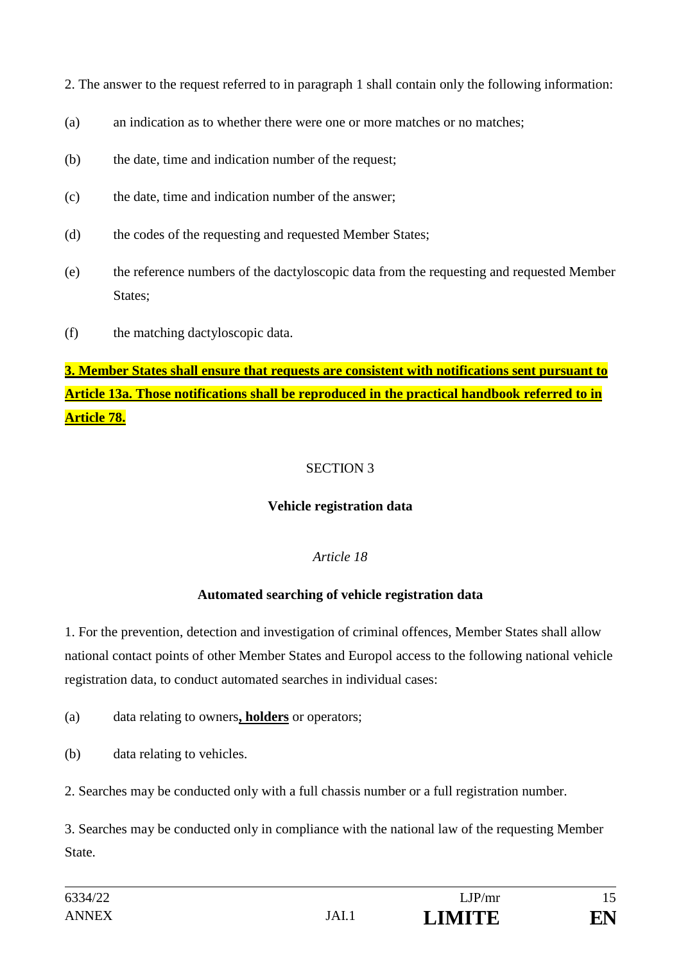2. The answer to the request referred to in paragraph 1 shall contain only the following information:

- (a) an indication as to whether there were one or more matches or no matches:
- (b) the date, time and indication number of the request;
- (c) the date, time and indication number of the answer;
- (d) the codes of the requesting and requested Member States;
- (e) the reference numbers of the dactyloscopic data from the requesting and requested Member States;
- (f) the matching dactyloscopic data.

**3. Member States shall ensure that requests are consistent with notifications sent pursuant to Article 13a. Those notifications shall be reproduced in the practical handbook referred to in Article 78.**

### SECTION 3

### **Vehicle registration data**

### *Article 18*

### **Automated searching of vehicle registration data**

1. For the prevention, detection and investigation of criminal offences, Member States shall allow national contact points of other Member States and Europol access to the following national vehicle registration data, to conduct automated searches in individual cases:

(a) data relating to owners**, holders** or operators;

(b) data relating to vehicles.

2. Searches may be conducted only with a full chassis number or a full registration number.

3. Searches may be conducted only in compliance with the national law of the requesting Member State.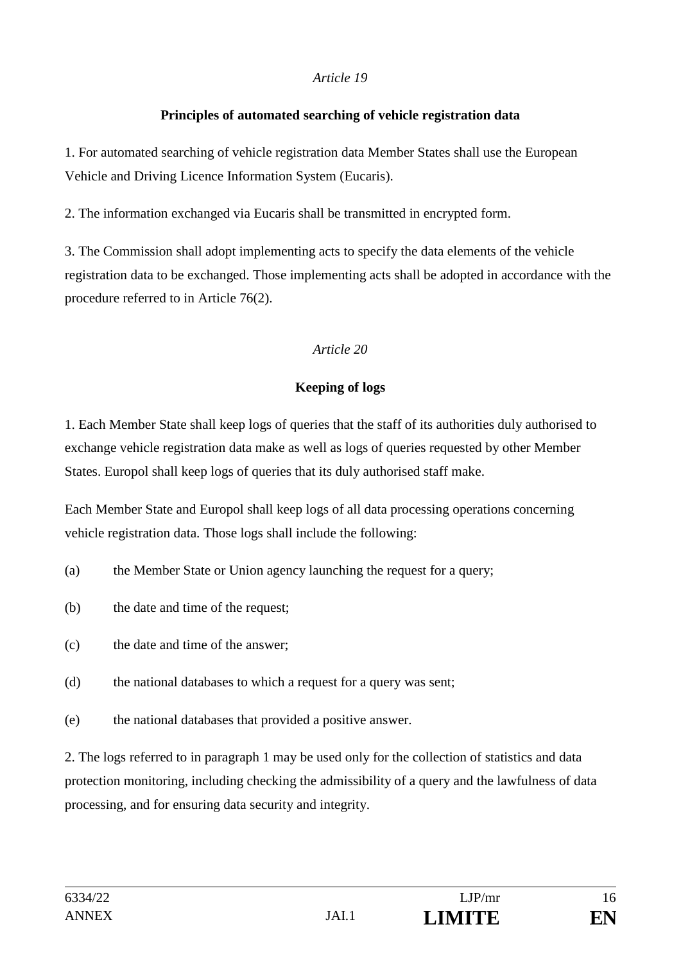### **Principles of automated searching of vehicle registration data**

1. For automated searching of vehicle registration data Member States shall use the European Vehicle and Driving Licence Information System (Eucaris).

2. The information exchanged via Eucaris shall be transmitted in encrypted form.

3. The Commission shall adopt implementing acts to specify the data elements of the vehicle registration data to be exchanged. Those implementing acts shall be adopted in accordance with the procedure referred to in Article 76(2).

### *Article 20*

# **Keeping of logs**

1. Each Member State shall keep logs of queries that the staff of its authorities duly authorised to exchange vehicle registration data make as well as logs of queries requested by other Member States. Europol shall keep logs of queries that its duly authorised staff make.

Each Member State and Europol shall keep logs of all data processing operations concerning vehicle registration data. Those logs shall include the following:

- (a) the Member State or Union agency launching the request for a query;
- (b) the date and time of the request;
- (c) the date and time of the answer;
- (d) the national databases to which a request for a query was sent;
- (e) the national databases that provided a positive answer.

2. The logs referred to in paragraph 1 may be used only for the collection of statistics and data protection monitoring, including checking the admissibility of a query and the lawfulness of data processing, and for ensuring data security and integrity.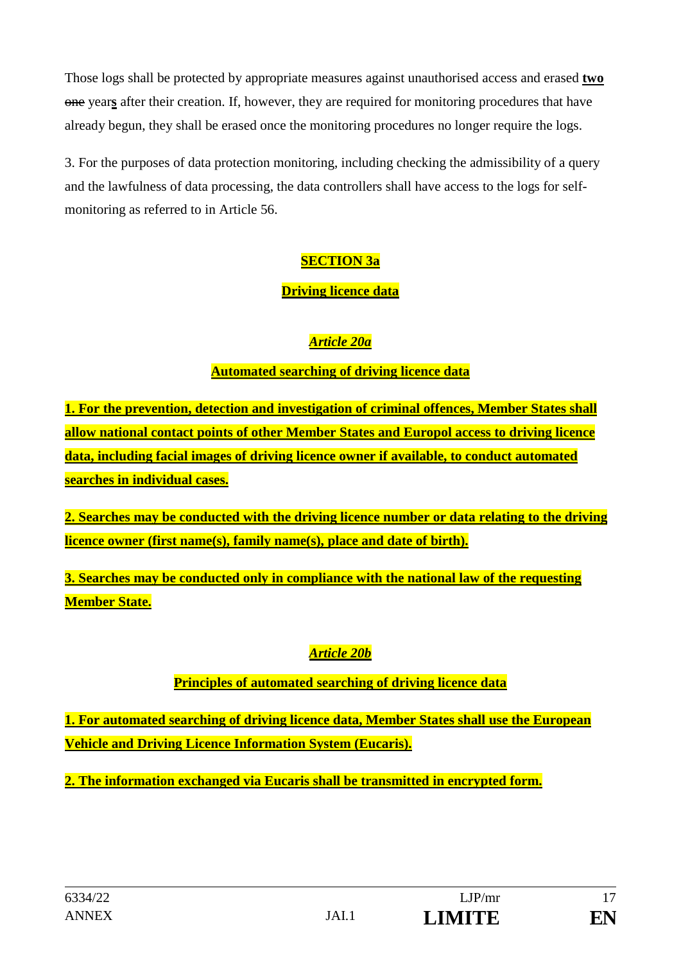Those logs shall be protected by appropriate measures against unauthorised access and erased **two** one year**s** after their creation. If, however, they are required for monitoring procedures that have already begun, they shall be erased once the monitoring procedures no longer require the logs.

3. For the purposes of data protection monitoring, including checking the admissibility of a query and the lawfulness of data processing, the data controllers shall have access to the logs for selfmonitoring as referred to in Article 56.

# **SECTION 3a**

### **Driving licence data**

### *Article 20a*

### **Automated searching of driving licence data**

**1. For the prevention, detection and investigation of criminal offences, Member States shall allow national contact points of other Member States and Europol access to driving licence data, including facial images of driving licence owner if available, to conduct automated searches in individual cases.**

**2. Searches may be conducted with the driving licence number or data relating to the driving licence owner (first name(s), family name(s), place and date of birth).**

**3. Searches may be conducted only in compliance with the national law of the requesting Member State.**

# *Article 20b*

# **Principles of automated searching of driving licence data**

**1. For automated searching of driving licence data, Member States shall use the European Vehicle and Driving Licence Information System (Eucaris).**

**2. The information exchanged via Eucaris shall be transmitted in encrypted form.**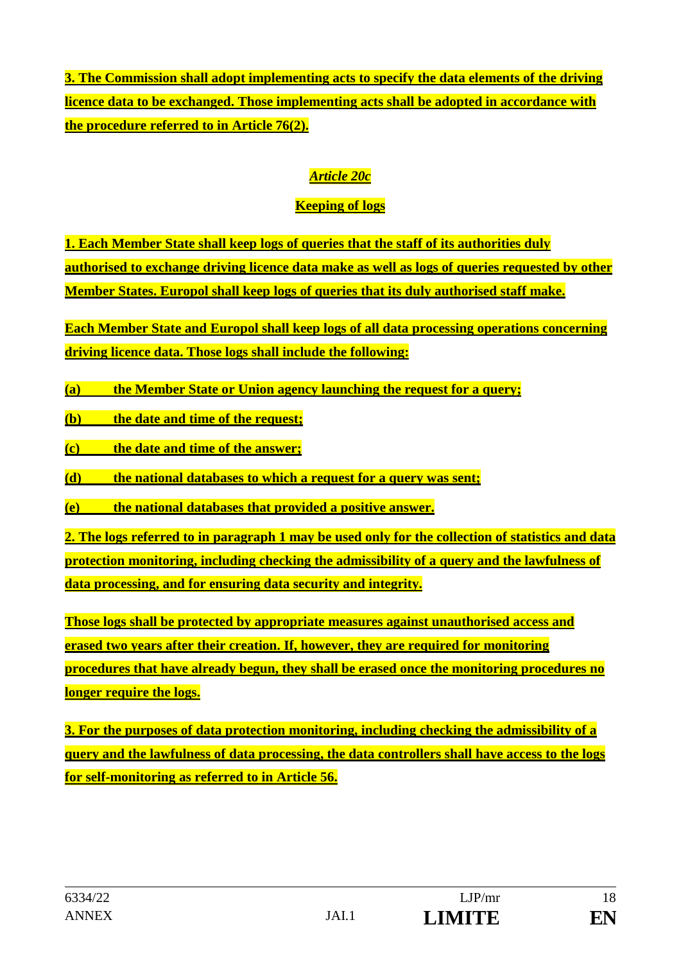**3. The Commission shall adopt implementing acts to specify the data elements of the driving licence data to be exchanged. Those implementing acts shall be adopted in accordance with the procedure referred to in Article 76(2).**

# *Article 20c*

# **Keeping of logs**

**1. Each Member State shall keep logs of queries that the staff of its authorities duly authorised to exchange driving licence data make as well as logs of queries requested by other Member States. Europol shall keep logs of queries that its duly authorised staff make.**

**Each Member State and Europol shall keep logs of all data processing operations concerning driving licence data. Those logs shall include the following:** 

**(a) the Member State or Union agency launching the request for a query;** 

**(b) the date and time of the request;**

**(c) the date and time of the answer;**

**(d) the national databases to which a request for a query was sent;** 

**(e) the national databases that provided a positive answer.**

**2. The logs referred to in paragraph 1 may be used only for the collection of statistics and data protection monitoring, including checking the admissibility of a query and the lawfulness of data processing, and for ensuring data security and integrity.** 

**Those logs shall be protected by appropriate measures against unauthorised access and erased two years after their creation. If, however, they are required for monitoring procedures that have already begun, they shall be erased once the monitoring procedures no longer require the logs.**

**3. For the purposes of data protection monitoring, including checking the admissibility of a query and the lawfulness of data processing, the data controllers shall have access to the logs for self-monitoring as referred to in Article 56.**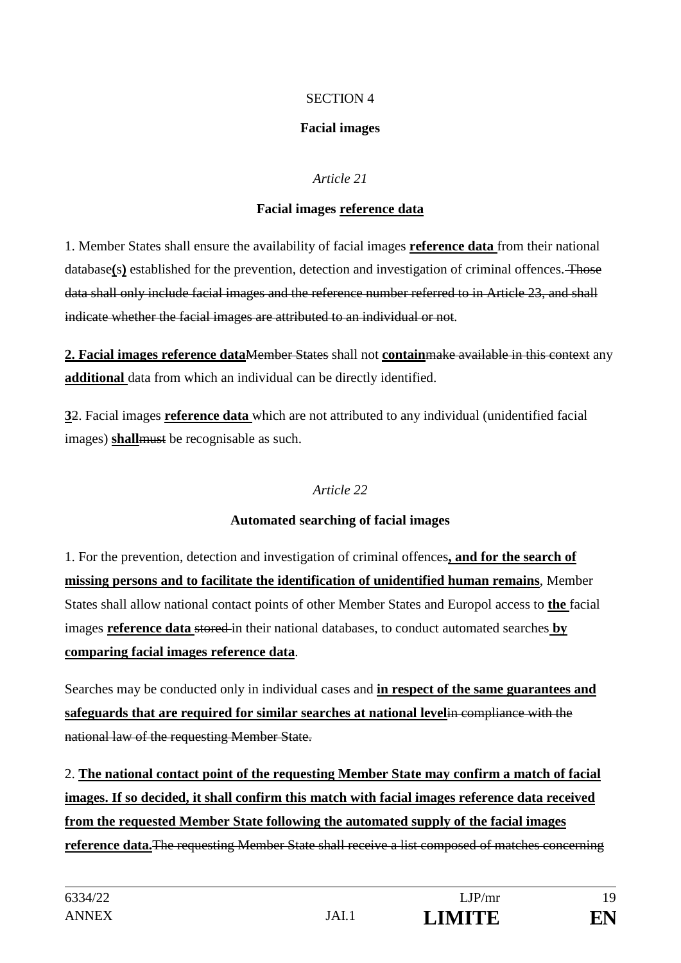### SECTION 4

### **Facial images**

### *Article 21*

### **Facial images reference data**

1. Member States shall ensure the availability of facial images **reference data** from their national database(s) established for the prevention, detection and investigation of criminal offences. Those data shall only include facial images and the reference number referred to in Article 23, and shall indicate whether the facial images are attributed to an individual or not.

**2. Facial images reference data**Member States shall not **contain**make available in this context any **additional** data from which an individual can be directly identified.

**3**2. Facial images **reference data** which are not attributed to any individual (unidentified facial images) **shall**must be recognisable as such.

### *Article 22*

### **Automated searching of facial images**

1. For the prevention, detection and investigation of criminal offences**, and for the search of missing persons and to facilitate the identification of unidentified human remains**, Member States shall allow national contact points of other Member States and Europol access to **the** facial images **reference data** stored in their national databases, to conduct automated searches **by comparing facial images reference data**.

Searches may be conducted only in individual cases and **in respect of the same guarantees and safeguards that are required for similar searches at national level**in compliance with the national law of the requesting Member State.

2. **The national contact point of the requesting Member State may confirm a match of facial images. If so decided, it shall confirm this match with facial images reference data received from the requested Member State following the automated supply of the facial images reference data.**The requesting Member State shall receive a list composed of matches concerning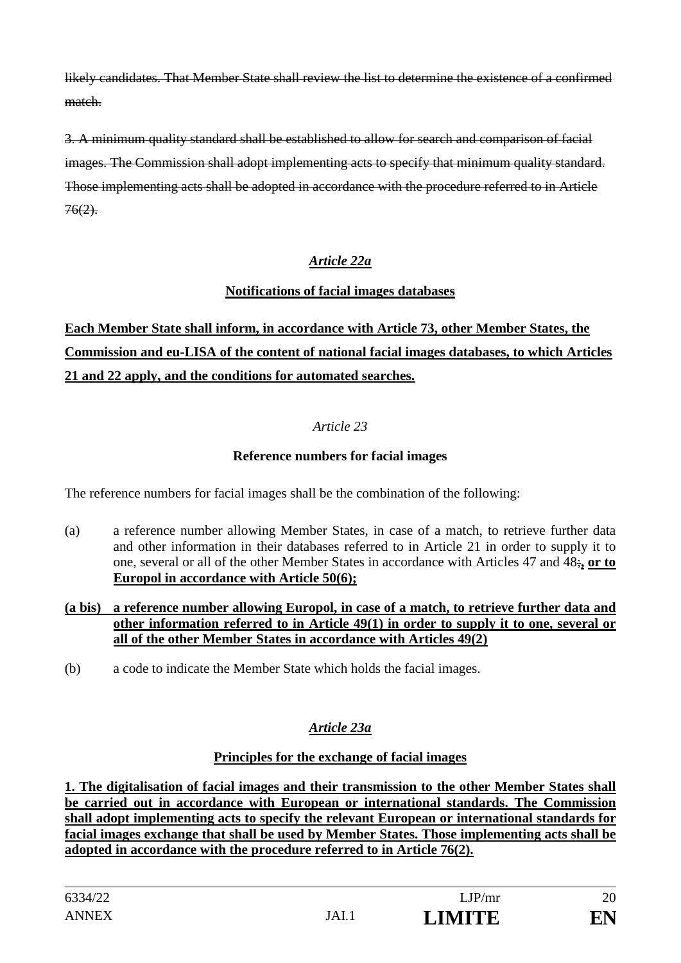likely candidates. That Member State shall review the list to determine the existence of a confirmed match.

3. A minimum quality standard shall be established to allow for search and comparison of facial images. The Commission shall adopt implementing acts to specify that minimum quality standard. Those implementing acts shall be adopted in accordance with the procedure referred to in Article  $76(2)$ .

### *Article 22a*

### **Notifications of facial images databases**

# **Each Member State shall inform, in accordance with Article 73, other Member States, the Commission and eu-LISA of the content of national facial images databases, to which Articles 21 and 22 apply, and the conditions for automated searches.**

### *Article 23*

### **Reference numbers for facial images**

The reference numbers for facial images shall be the combination of the following:

(a) a reference number allowing Member States, in case of a match, to retrieve further data and other information in their databases referred to in Article 21 in order to supply it to one, several or all of the other Member States in accordance with Articles 47 and 48;**, or to Europol in accordance with Article 50(6);**

#### **(a bis) a reference number allowing Europol, in case of a match, to retrieve further data and other information referred to in Article 49(1) in order to supply it to one, several or all of the other Member States in accordance with Articles 49(2)**

(b) a code to indicate the Member State which holds the facial images.

# *Article 23a*

### **Principles for the exchange of facial images**

**1. The digitalisation of facial images and their transmission to the other Member States shall be carried out in accordance with European or international standards. The Commission shall adopt implementing acts to specify the relevant European or international standards for facial images exchange that shall be used by Member States. Those implementing acts shall be adopted in accordance with the procedure referred to in Article 76(2).**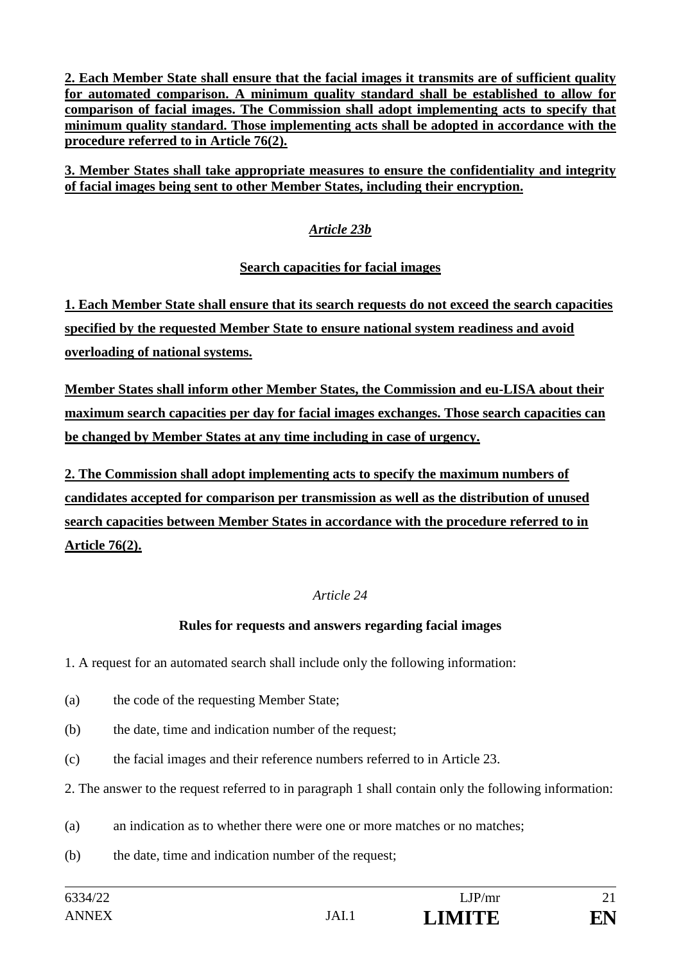**2. Each Member State shall ensure that the facial images it transmits are of sufficient quality for automated comparison. A minimum quality standard shall be established to allow for comparison of facial images. The Commission shall adopt implementing acts to specify that minimum quality standard. Those implementing acts shall be adopted in accordance with the procedure referred to in Article 76(2).**

**3. Member States shall take appropriate measures to ensure the confidentiality and integrity of facial images being sent to other Member States, including their encryption.**

### *Article 23b*

### **Search capacities for facial images**

**1. Each Member State shall ensure that its search requests do not exceed the search capacities specified by the requested Member State to ensure national system readiness and avoid overloading of national systems.** 

**Member States shall inform other Member States, the Commission and eu-LISA about their maximum search capacities per day for facial images exchanges. Those search capacities can be changed by Member States at any time including in case of urgency.**

**2. The Commission shall adopt implementing acts to specify the maximum numbers of candidates accepted for comparison per transmission as well as the distribution of unused search capacities between Member States in accordance with the procedure referred to in Article 76(2).**

### *Article 24*

### **Rules for requests and answers regarding facial images**

1. A request for an automated search shall include only the following information:

- (a) the code of the requesting Member State;
- (b) the date, time and indication number of the request;
- (c) the facial images and their reference numbers referred to in Article 23.
- 2. The answer to the request referred to in paragraph 1 shall contain only the following information:
- (a) an indication as to whether there were one or more matches or no matches;
- (b) the date, time and indication number of the request;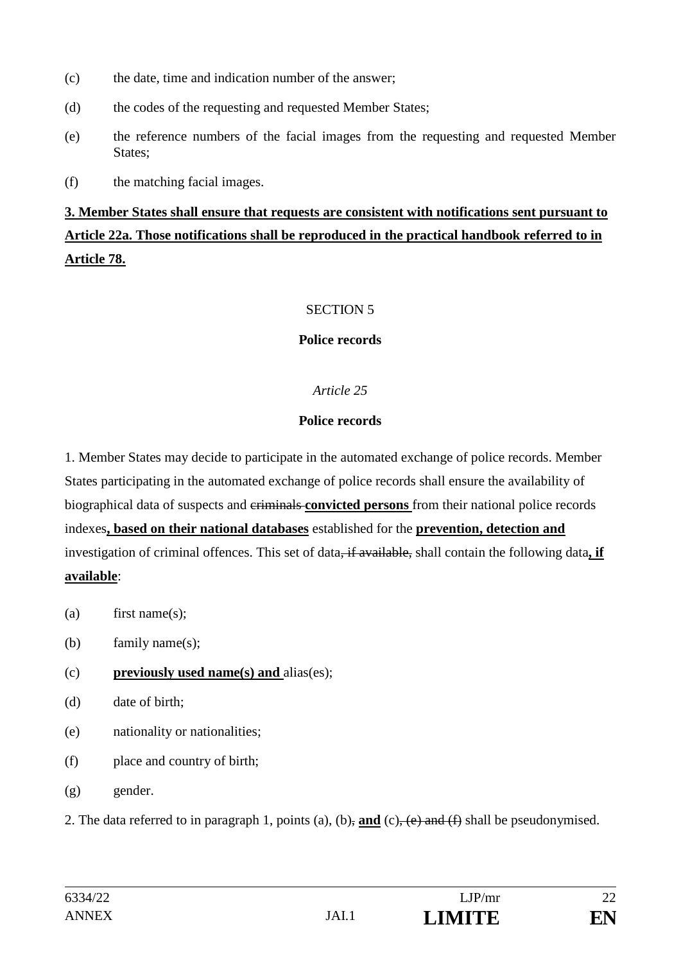- (c) the date, time and indication number of the answer;
- (d) the codes of the requesting and requested Member States;
- (e) the reference numbers of the facial images from the requesting and requested Member States;
- (f) the matching facial images.

# **3. Member States shall ensure that requests are consistent with notifications sent pursuant to Article 22a. Those notifications shall be reproduced in the practical handbook referred to in Article 78.**

### SECTION 5

### **Police records**

### *Article 25*

#### **Police records**

1. Member States may decide to participate in the automated exchange of police records. Member States participating in the automated exchange of police records shall ensure the availability of biographical data of suspects and criminals **convicted persons** from their national police records indexes**, based on their national databases** established for the **prevention, detection and**  investigation of criminal offences. This set of data<del>, if available,</del> shall contain the following data, if **available**:

- (a) first name(s);
- (b) family name(s);
- (c) **previously used name(s) and** alias(es);
- (d) date of birth;
- (e) nationality or nationalities;
- (f) place and country of birth;
- (g) gender.

2. The data referred to in paragraph 1, points (a), (b), **and** (c), (e) and (f) shall be pseudonymised.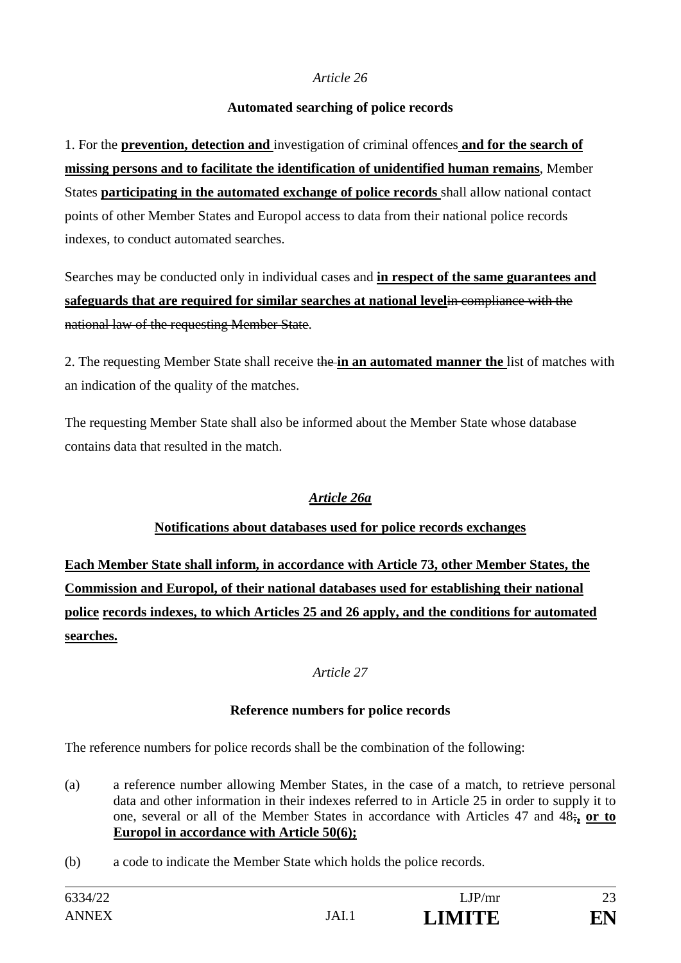### **Automated searching of police records**

1. For the **prevention, detection and** investigation of criminal offences **and for the search of missing persons and to facilitate the identification of unidentified human remains**, Member States **participating in the automated exchange of police records** shall allow national contact points of other Member States and Europol access to data from their national police records indexes, to conduct automated searches.

Searches may be conducted only in individual cases and **in respect of the same guarantees and safeguards that are required for similar searches at national level**in compliance with the national law of the requesting Member State.

2. The requesting Member State shall receive the **in an automated manner the** list of matches with an indication of the quality of the matches.

The requesting Member State shall also be informed about the Member State whose database contains data that resulted in the match.

### *Article 26a*

### **Notifications about databases used for police records exchanges**

**Each Member State shall inform, in accordance with Article 73, other Member States, the Commission and Europol, of their national databases used for establishing their national police records indexes, to which Articles 25 and 26 apply, and the conditions for automated searches.**

### *Article 27*

### **Reference numbers for police records**

The reference numbers for police records shall be the combination of the following:

- (a) a reference number allowing Member States, in the case of a match, to retrieve personal data and other information in their indexes referred to in Article 25 in order to supply it to one, several or all of the Member States in accordance with Articles 47 and 48;**, or to Europol in accordance with Article 50(6);**
- (b) a code to indicate the Member State which holds the police records.

| 6334/22      |       | LJP/mr        | 23 |
|--------------|-------|---------------|----|
| <b>ANNEX</b> | JAI.1 | <b>LIMITE</b> | ĒΝ |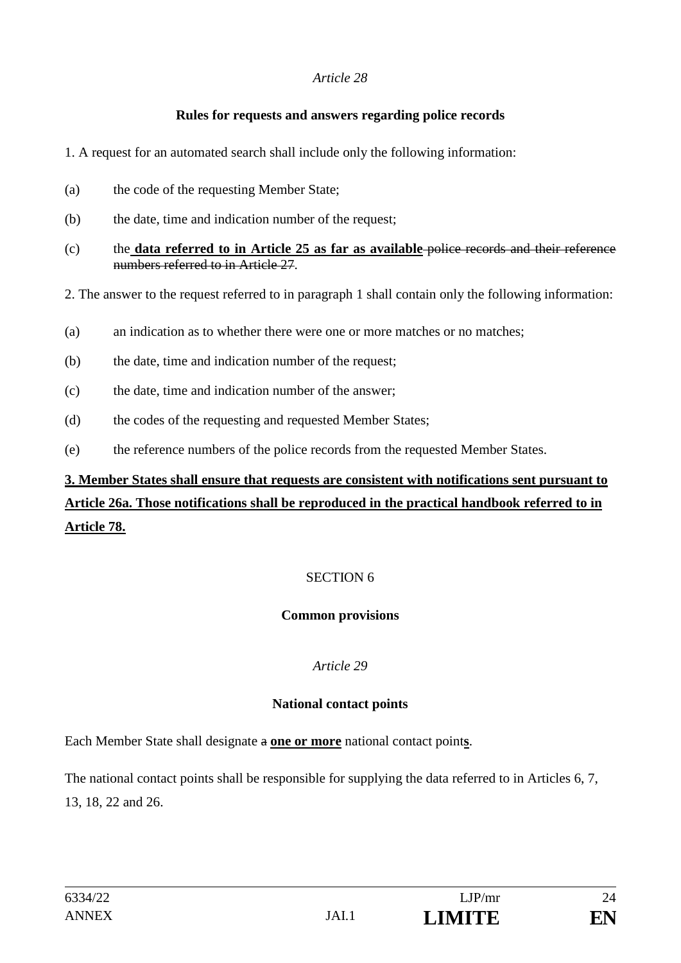### **Rules for requests and answers regarding police records**

- 1. A request for an automated search shall include only the following information:
- (a) the code of the requesting Member State;
- (b) the date, time and indication number of the request;
- (c) the **data referred to in Article 25 as far as available** police records and their reference numbers referred to in Article 27.
- 2. The answer to the request referred to in paragraph 1 shall contain only the following information:
- (a) an indication as to whether there were one or more matches or no matches;
- (b) the date, time and indication number of the request;
- (c) the date, time and indication number of the answer;
- (d) the codes of the requesting and requested Member States;
- (e) the reference numbers of the police records from the requested Member States.

# **3. Member States shall ensure that requests are consistent with notifications sent pursuant to Article 26a. Those notifications shall be reproduced in the practical handbook referred to in Article 78.**

### SECTION 6

### **Common provisions**

### *Article 29*

### **National contact points**

Each Member State shall designate a **one or more** national contact point**s**.

The national contact points shall be responsible for supplying the data referred to in Articles 6, 7, 13, 18, 22 and 26.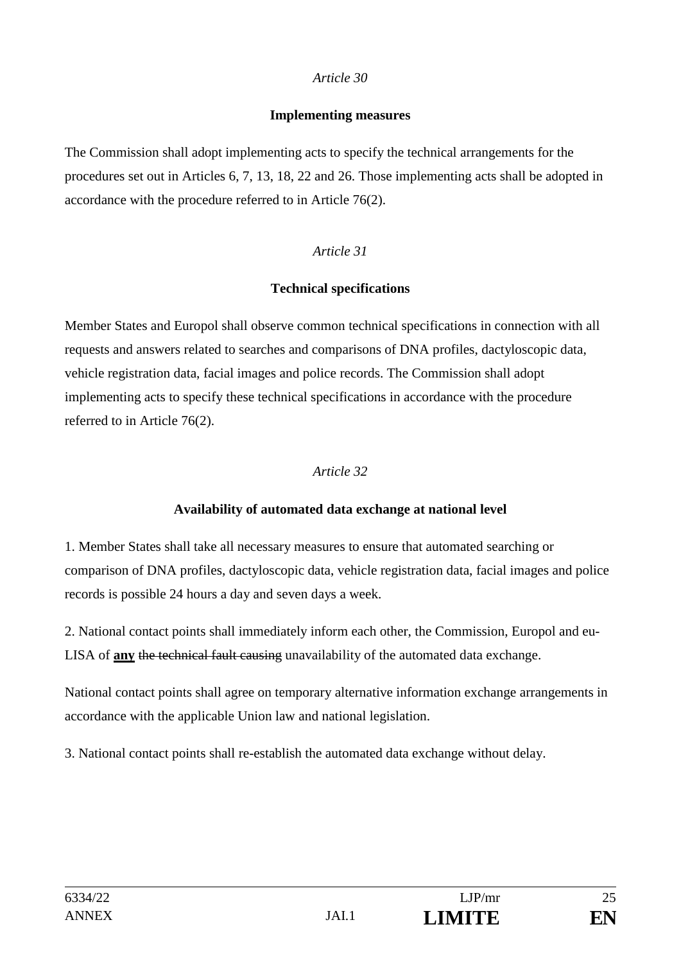#### **Implementing measures**

The Commission shall adopt implementing acts to specify the technical arrangements for the procedures set out in Articles 6, 7, 13, 18, 22 and 26. Those implementing acts shall be adopted in accordance with the procedure referred to in Article 76(2).

### *Article 31*

### **Technical specifications**

Member States and Europol shall observe common technical specifications in connection with all requests and answers related to searches and comparisons of DNA profiles, dactyloscopic data, vehicle registration data, facial images and police records. The Commission shall adopt implementing acts to specify these technical specifications in accordance with the procedure referred to in Article 76(2).

### *Article 32*

### **Availability of automated data exchange at national level**

1. Member States shall take all necessary measures to ensure that automated searching or comparison of DNA profiles, dactyloscopic data, vehicle registration data, facial images and police records is possible 24 hours a day and seven days a week.

2. National contact points shall immediately inform each other, the Commission, Europol and eu-LISA of **any** the technical fault causing unavailability of the automated data exchange.

National contact points shall agree on temporary alternative information exchange arrangements in accordance with the applicable Union law and national legislation.

3. National contact points shall re-establish the automated data exchange without delay.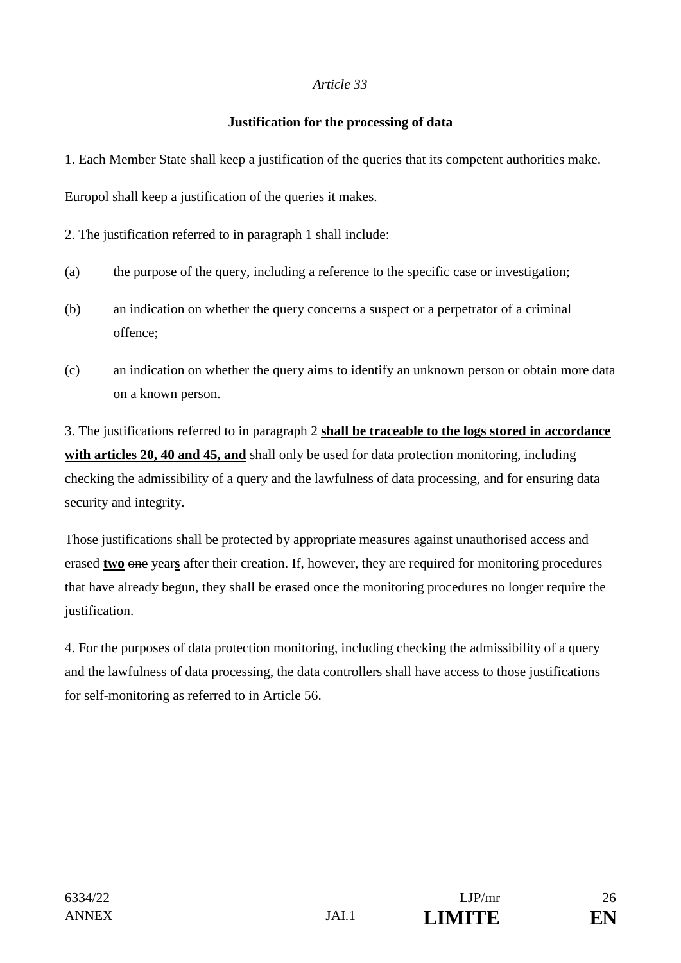#### **Justification for the processing of data**

1. Each Member State shall keep a justification of the queries that its competent authorities make.

Europol shall keep a justification of the queries it makes.

2. The justification referred to in paragraph 1 shall include:

- (a) the purpose of the query, including a reference to the specific case or investigation;
- (b) an indication on whether the query concerns a suspect or a perpetrator of a criminal offence;
- (c) an indication on whether the query aims to identify an unknown person or obtain more data on a known person.

3. The justifications referred to in paragraph 2 **shall be traceable to the logs stored in accordance with articles 20, 40 and 45, and** shall only be used for data protection monitoring, including checking the admissibility of a query and the lawfulness of data processing, and for ensuring data security and integrity.

Those justifications shall be protected by appropriate measures against unauthorised access and erased **two** one year**s** after their creation. If, however, they are required for monitoring procedures that have already begun, they shall be erased once the monitoring procedures no longer require the justification.

4. For the purposes of data protection monitoring, including checking the admissibility of a query and the lawfulness of data processing, the data controllers shall have access to those justifications for self-monitoring as referred to in Article 56.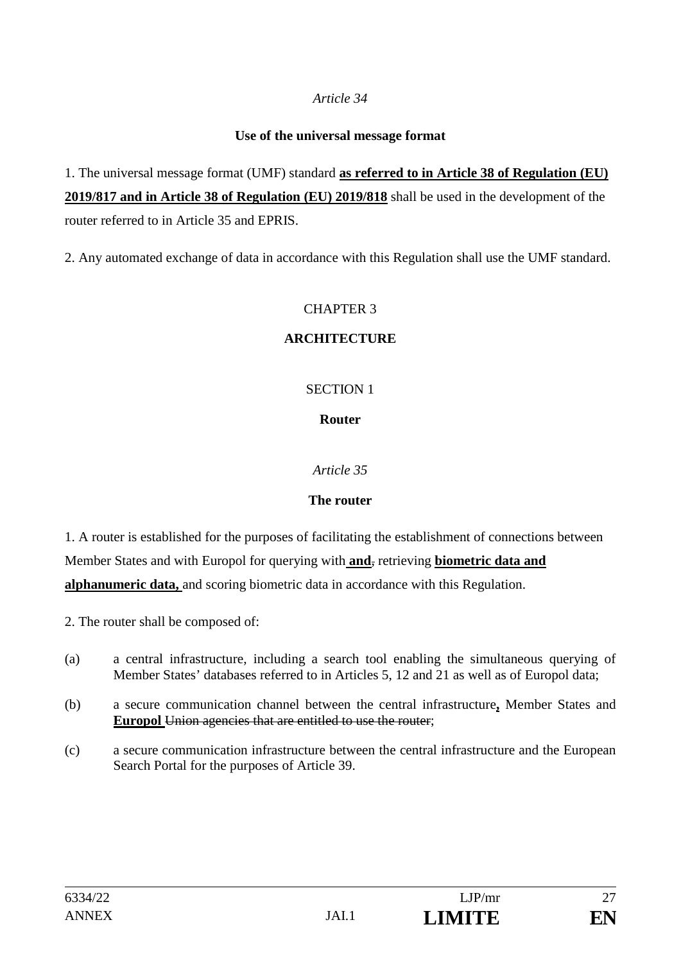#### **Use of the universal message format**

1. The universal message format (UMF) standard **as referred to in Article 38 of Regulation (EU) 2019/817 and in Article 38 of Regulation (EU) 2019/818** shall be used in the development of the router referred to in Article 35 and EPRIS.

2. Any automated exchange of data in accordance with this Regulation shall use the UMF standard.

### CHAPTER 3

### **ARCHITECTURE**

### SECTION 1

### **Router**

### *Article 35*

### **The router**

1. A router is established for the purposes of facilitating the establishment of connections between Member States and with Europol for querying with **and**, retrieving **biometric data and alphanumeric data,** and scoring biometric data in accordance with this Regulation.

2. The router shall be composed of:

- (a) a central infrastructure, including a search tool enabling the simultaneous querying of Member States' databases referred to in Articles 5, 12 and 21 as well as of Europol data;
- (b) a secure communication channel between the central infrastructure**,** Member States and **Europol** Union agencies that are entitled to use the router;
- (c) a secure communication infrastructure between the central infrastructure and the European Search Portal for the purposes of Article 39.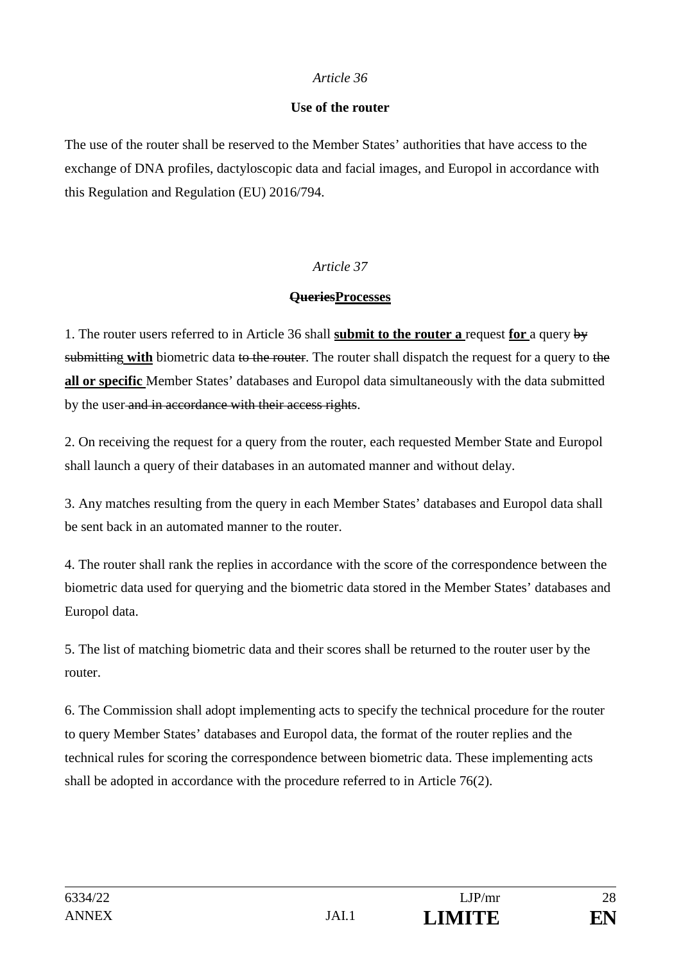#### **Use of the router**

The use of the router shall be reserved to the Member States' authorities that have access to the exchange of DNA profiles, dactyloscopic data and facial images, and Europol in accordance with this Regulation and Regulation (EU) 2016/794.

### *Article 37*

### **QueriesProcesses**

1. The router users referred to in Article 36 shall **submit to the router a** request **for** a query by submitting **with** biometric data to the router. The router shall dispatch the request for a query to the **all or specific** Member States' databases and Europol data simultaneously with the data submitted by the user and in accordance with their access rights.

2. On receiving the request for a query from the router, each requested Member State and Europol shall launch a query of their databases in an automated manner and without delay.

3. Any matches resulting from the query in each Member States' databases and Europol data shall be sent back in an automated manner to the router.

4. The router shall rank the replies in accordance with the score of the correspondence between the biometric data used for querying and the biometric data stored in the Member States' databases and Europol data.

5. The list of matching biometric data and their scores shall be returned to the router user by the router.

6. The Commission shall adopt implementing acts to specify the technical procedure for the router to query Member States' databases and Europol data, the format of the router replies and the technical rules for scoring the correspondence between biometric data. These implementing acts shall be adopted in accordance with the procedure referred to in Article 76(2).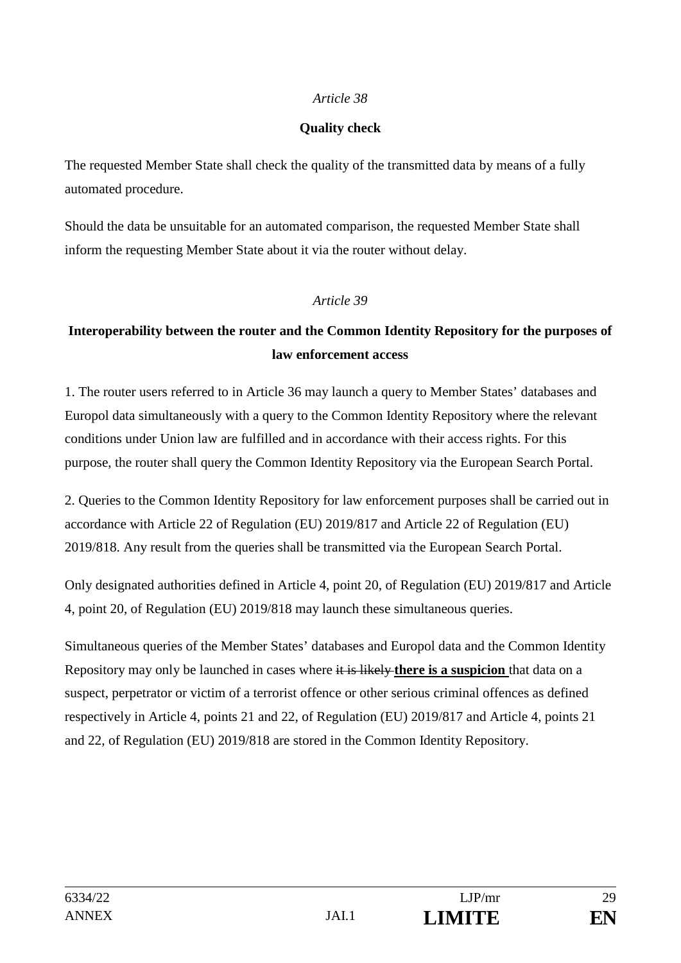### **Quality check**

The requested Member State shall check the quality of the transmitted data by means of a fully automated procedure.

Should the data be unsuitable for an automated comparison, the requested Member State shall inform the requesting Member State about it via the router without delay.

#### *Article 39*

# **Interoperability between the router and the Common Identity Repository for the purposes of law enforcement access**

1. The router users referred to in Article 36 may launch a query to Member States' databases and Europol data simultaneously with a query to the Common Identity Repository where the relevant conditions under Union law are fulfilled and in accordance with their access rights. For this purpose, the router shall query the Common Identity Repository via the European Search Portal.

2. Queries to the Common Identity Repository for law enforcement purposes shall be carried out in accordance with Article 22 of Regulation (EU) 2019/817 and Article 22 of Regulation (EU) 2019/818. Any result from the queries shall be transmitted via the European Search Portal.

Only designated authorities defined in Article 4, point 20, of Regulation (EU) 2019/817 and Article 4, point 20, of Regulation (EU) 2019/818 may launch these simultaneous queries.

Simultaneous queries of the Member States' databases and Europol data and the Common Identity Repository may only be launched in cases where it is likely **there is a suspicion** that data on a suspect, perpetrator or victim of a terrorist offence or other serious criminal offences as defined respectively in Article 4, points 21 and 22, of Regulation (EU) 2019/817 and Article 4, points 21 and 22, of Regulation (EU) 2019/818 are stored in the Common Identity Repository.

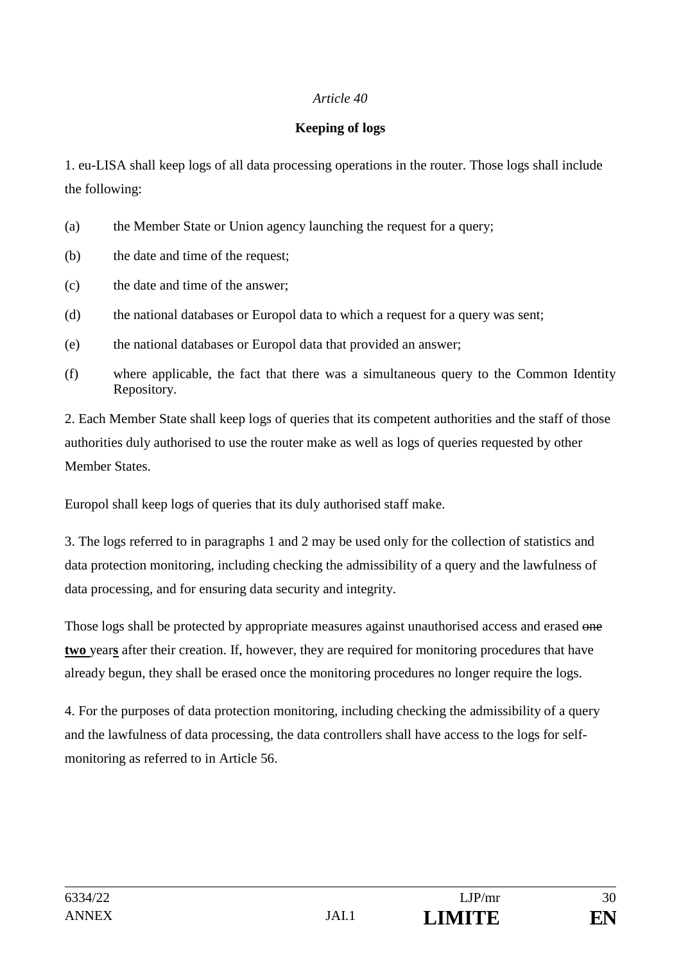### **Keeping of logs**

1. eu-LISA shall keep logs of all data processing operations in the router. Those logs shall include the following:

- (a) the Member State or Union agency launching the request for a query;
- (b) the date and time of the request;
- (c) the date and time of the answer;
- (d) the national databases or Europol data to which a request for a query was sent;
- (e) the national databases or Europol data that provided an answer;
- (f) where applicable, the fact that there was a simultaneous query to the Common Identity Repository.

2. Each Member State shall keep logs of queries that its competent authorities and the staff of those authorities duly authorised to use the router make as well as logs of queries requested by other Member States.

Europol shall keep logs of queries that its duly authorised staff make.

3. The logs referred to in paragraphs 1 and 2 may be used only for the collection of statistics and data protection monitoring, including checking the admissibility of a query and the lawfulness of data processing, and for ensuring data security and integrity.

Those logs shall be protected by appropriate measures against unauthorised access and erased one **two** year**s** after their creation. If, however, they are required for monitoring procedures that have already begun, they shall be erased once the monitoring procedures no longer require the logs.

4. For the purposes of data protection monitoring, including checking the admissibility of a query and the lawfulness of data processing, the data controllers shall have access to the logs for selfmonitoring as referred to in Article 56.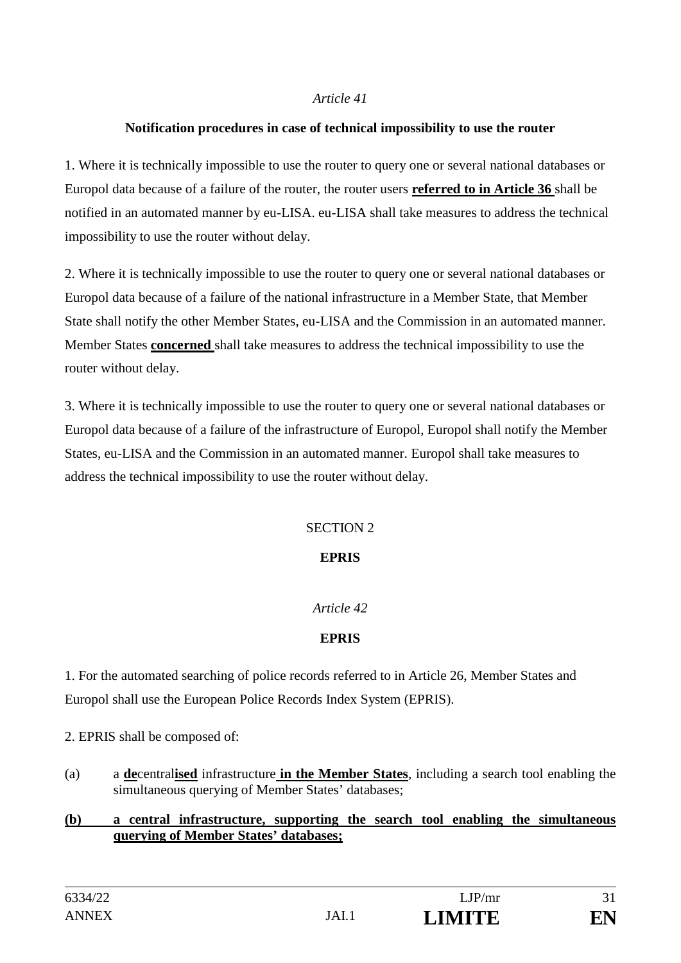#### **Notification procedures in case of technical impossibility to use the router**

1. Where it is technically impossible to use the router to query one or several national databases or Europol data because of a failure of the router, the router users **referred to in Article 36** shall be notified in an automated manner by eu-LISA. eu-LISA shall take measures to address the technical impossibility to use the router without delay.

2. Where it is technically impossible to use the router to query one or several national databases or Europol data because of a failure of the national infrastructure in a Member State, that Member State shall notify the other Member States, eu-LISA and the Commission in an automated manner. Member States **concerned** shall take measures to address the technical impossibility to use the router without delay.

3. Where it is technically impossible to use the router to query one or several national databases or Europol data because of a failure of the infrastructure of Europol, Europol shall notify the Member States, eu-LISA and the Commission in an automated manner. Europol shall take measures to address the technical impossibility to use the router without delay.

### SECTION 2

### **EPRIS**

### *Article 42*

### **EPRIS**

1. For the automated searching of police records referred to in Article 26, Member States and Europol shall use the European Police Records Index System (EPRIS).

2. EPRIS shall be composed of:

(a) a **de**central**ised** infrastructure **in the Member States**, including a search tool enabling the simultaneous querying of Member States' databases;

#### **(b) a central infrastructure, supporting the search tool enabling the simultaneous querying of Member States' databases;**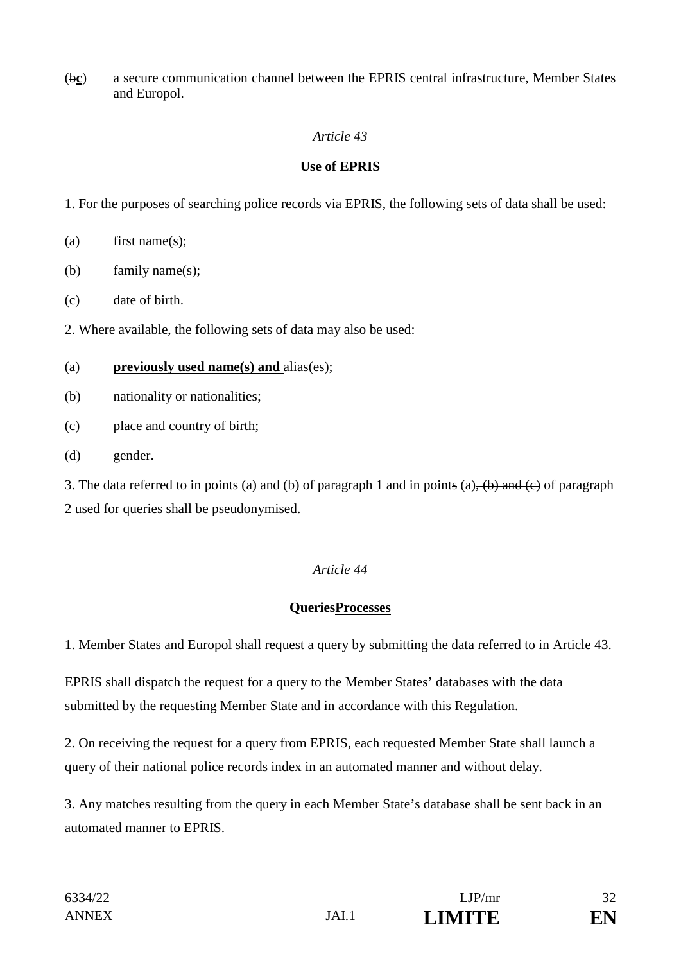(b**c**) a secure communication channel between the EPRIS central infrastructure, Member States and Europol.

### *Article 43*

### **Use of EPRIS**

1. For the purposes of searching police records via EPRIS, the following sets of data shall be used:

- (a) first name(s);
- (b) family name(s);
- (c) date of birth.

2. Where available, the following sets of data may also be used:

### (a) **previously used name(s) and** alias(es);

- (b) nationality or nationalities;
- (c) place and country of birth;
- (d) gender.

3. The data referred to in points (a) and (b) of paragraph 1 and in points (a),  $\left(\frac{b}{c}\right)$  and  $\left(\frac{c}{c}\right)$  of paragraph 2 used for queries shall be pseudonymised.

### *Article 44*

### **QueriesProcesses**

1. Member States and Europol shall request a query by submitting the data referred to in Article 43.

EPRIS shall dispatch the request for a query to the Member States' databases with the data submitted by the requesting Member State and in accordance with this Regulation.

2. On receiving the request for a query from EPRIS, each requested Member State shall launch a query of their national police records index in an automated manner and without delay.

3. Any matches resulting from the query in each Member State's database shall be sent back in an automated manner to EPRIS.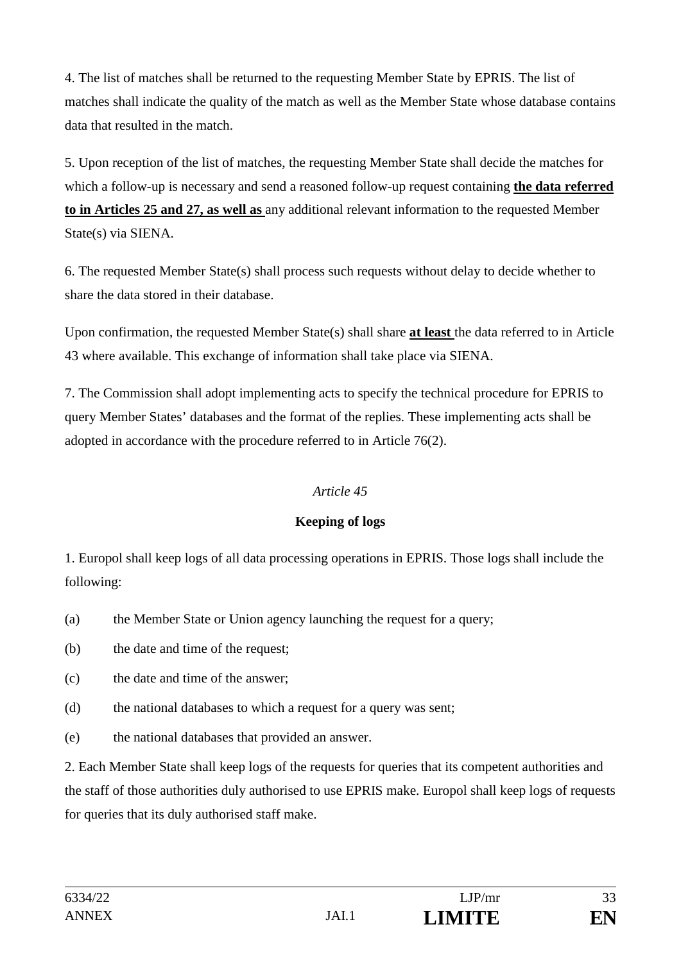4. The list of matches shall be returned to the requesting Member State by EPRIS. The list of matches shall indicate the quality of the match as well as the Member State whose database contains data that resulted in the match.

5. Upon reception of the list of matches, the requesting Member State shall decide the matches for which a follow-up is necessary and send a reasoned follow-up request containing **the data referred to in Articles 25 and 27, as well as** any additional relevant information to the requested Member State(s) via SIENA.

6. The requested Member State(s) shall process such requests without delay to decide whether to share the data stored in their database.

Upon confirmation, the requested Member State(s) shall share **at least** the data referred to in Article 43 where available. This exchange of information shall take place via SIENA.

7. The Commission shall adopt implementing acts to specify the technical procedure for EPRIS to query Member States' databases and the format of the replies. These implementing acts shall be adopted in accordance with the procedure referred to in Article 76(2).

### *Article 45*

### **Keeping of logs**

1. Europol shall keep logs of all data processing operations in EPRIS. Those logs shall include the following:

- (a) the Member State or Union agency launching the request for a query;
- (b) the date and time of the request;
- (c) the date and time of the answer;
- (d) the national databases to which a request for a query was sent;
- (e) the national databases that provided an answer.

2. Each Member State shall keep logs of the requests for queries that its competent authorities and the staff of those authorities duly authorised to use EPRIS make. Europol shall keep logs of requests for queries that its duly authorised staff make.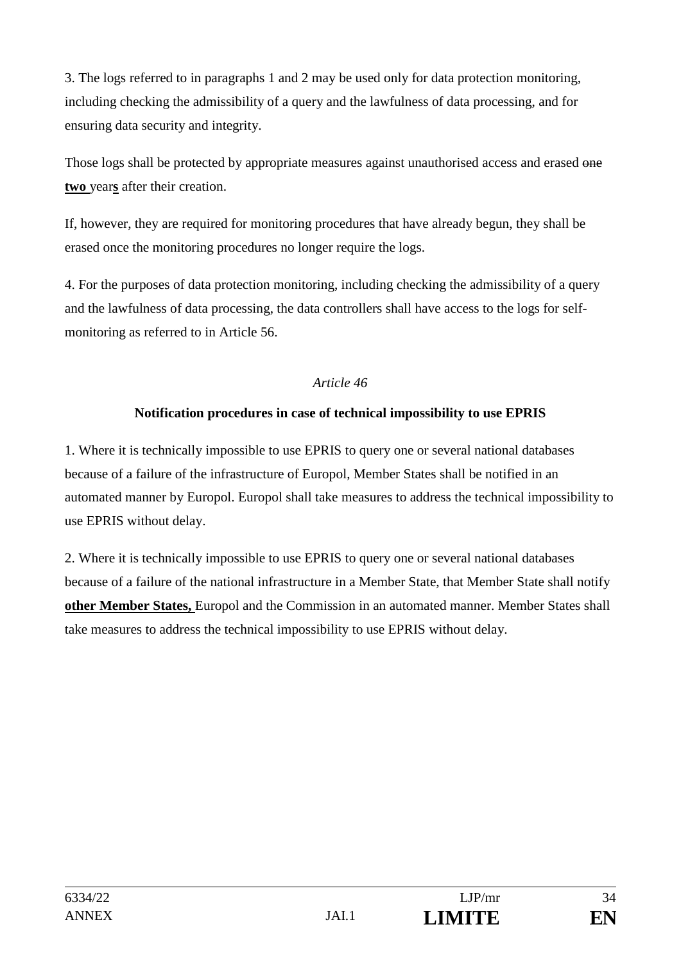3. The logs referred to in paragraphs 1 and 2 may be used only for data protection monitoring, including checking the admissibility of a query and the lawfulness of data processing, and for ensuring data security and integrity.

Those logs shall be protected by appropriate measures against unauthorised access and erased one **two** year**s** after their creation.

If, however, they are required for monitoring procedures that have already begun, they shall be erased once the monitoring procedures no longer require the logs.

4. For the purposes of data protection monitoring, including checking the admissibility of a query and the lawfulness of data processing, the data controllers shall have access to the logs for selfmonitoring as referred to in Article 56.

### *Article 46*

### **Notification procedures in case of technical impossibility to use EPRIS**

1. Where it is technically impossible to use EPRIS to query one or several national databases because of a failure of the infrastructure of Europol, Member States shall be notified in an automated manner by Europol. Europol shall take measures to address the technical impossibility to use EPRIS without delay.

2. Where it is technically impossible to use EPRIS to query one or several national databases because of a failure of the national infrastructure in a Member State, that Member State shall notify **other Member States,** Europol and the Commission in an automated manner. Member States shall take measures to address the technical impossibility to use EPRIS without delay.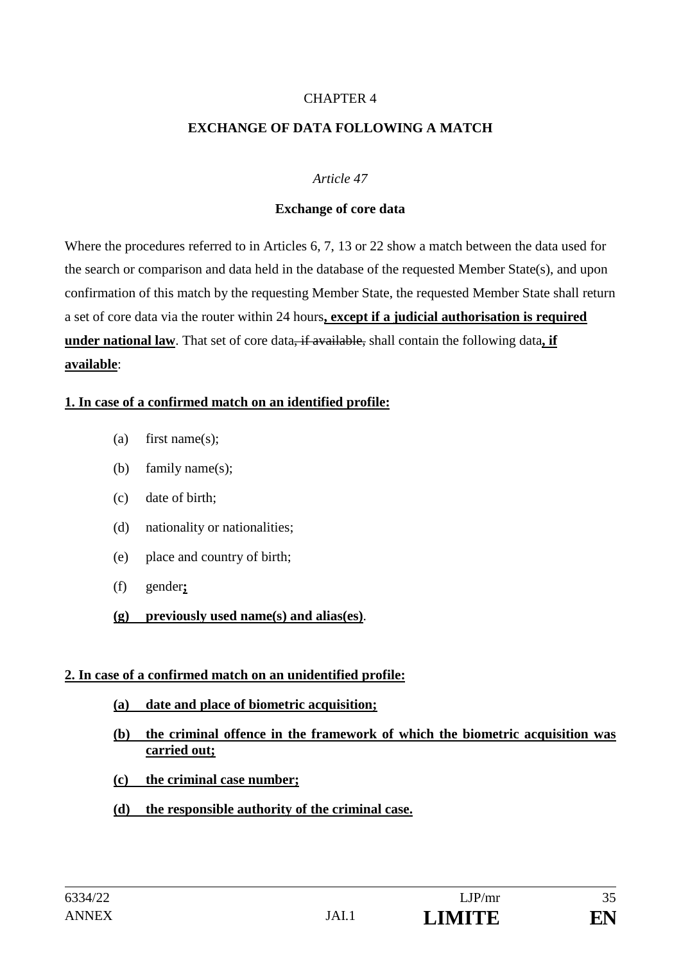#### CHAPTER 4

#### **EXCHANGE OF DATA FOLLOWING A MATCH**

#### *Article 47*

#### **Exchange of core data**

Where the procedures referred to in Articles 6, 7, 13 or 22 show a match between the data used for the search or comparison and data held in the database of the requested Member State(s), and upon confirmation of this match by the requesting Member State, the requested Member State shall return a set of core data via the router within 24 hours**, except if a judicial authorisation is required under national law**. That set of core data, if available, shall contain the following data**, if available**:

#### **1. In case of a confirmed match on an identified profile:**

- (a) first name(s);
- (b) family name(s);
- (c) date of birth;
- (d) nationality or nationalities;
- (e) place and country of birth;
- (f) gender**;**
- **(g) previously used name(s) and alias(es)**.

#### **2. In case of a confirmed match on an unidentified profile:**

- **(a) date and place of biometric acquisition;**
- **(b) the criminal offence in the framework of which the biometric acquisition was carried out;**
- **(c) the criminal case number;**
- **(d) the responsible authority of the criminal case.**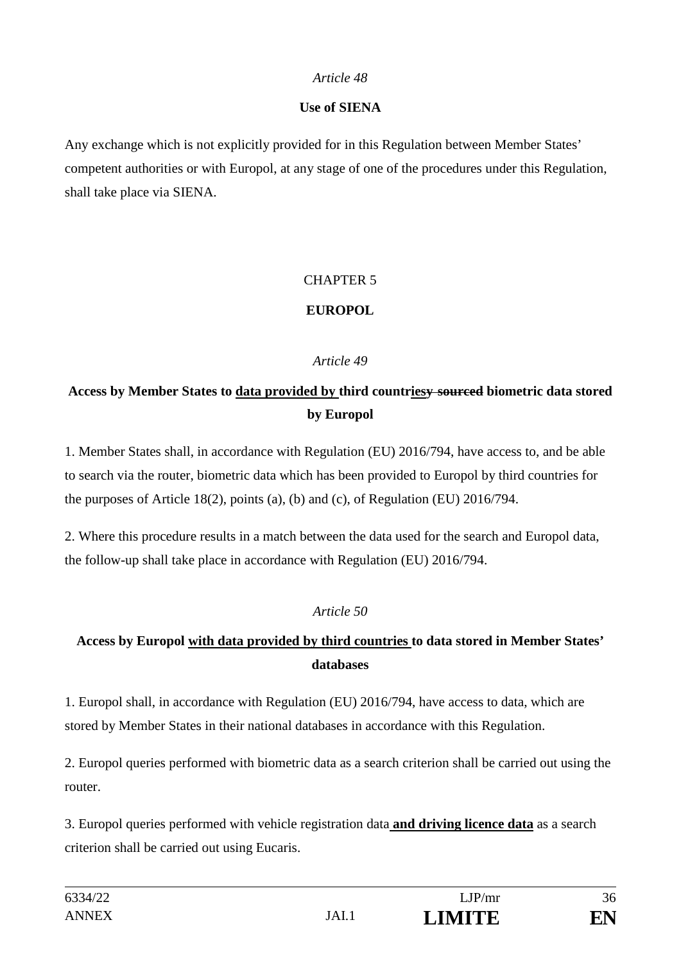### **Use of SIENA**

Any exchange which is not explicitly provided for in this Regulation between Member States' competent authorities or with Europol, at any stage of one of the procedures under this Regulation, shall take place via SIENA.

### CHAPTER 5

### **EUROPOL**

### *Article 49*

# **Access by Member States to data provided by third countriesy sourced biometric data stored by Europol**

1. Member States shall, in accordance with Regulation (EU) 2016/794, have access to, and be able to search via the router, biometric data which has been provided to Europol by third countries for the purposes of Article 18(2), points (a), (b) and (c), of Regulation (EU) 2016/794.

2. Where this procedure results in a match between the data used for the search and Europol data, the follow-up shall take place in accordance with Regulation (EU) 2016/794.

### *Article 50*

# **Access by Europol with data provided by third countries to data stored in Member States' databases**

1. Europol shall, in accordance with Regulation (EU) 2016/794, have access to data, which are stored by Member States in their national databases in accordance with this Regulation.

2. Europol queries performed with biometric data as a search criterion shall be carried out using the router.

3. Europol queries performed with vehicle registration data **and driving licence data** as a search criterion shall be carried out using Eucaris.

| 6334/22      |       | LJP/mr        | 36 |
|--------------|-------|---------------|----|
| <b>ANNEX</b> | JAI.1 | <b>LIMITE</b> | EN |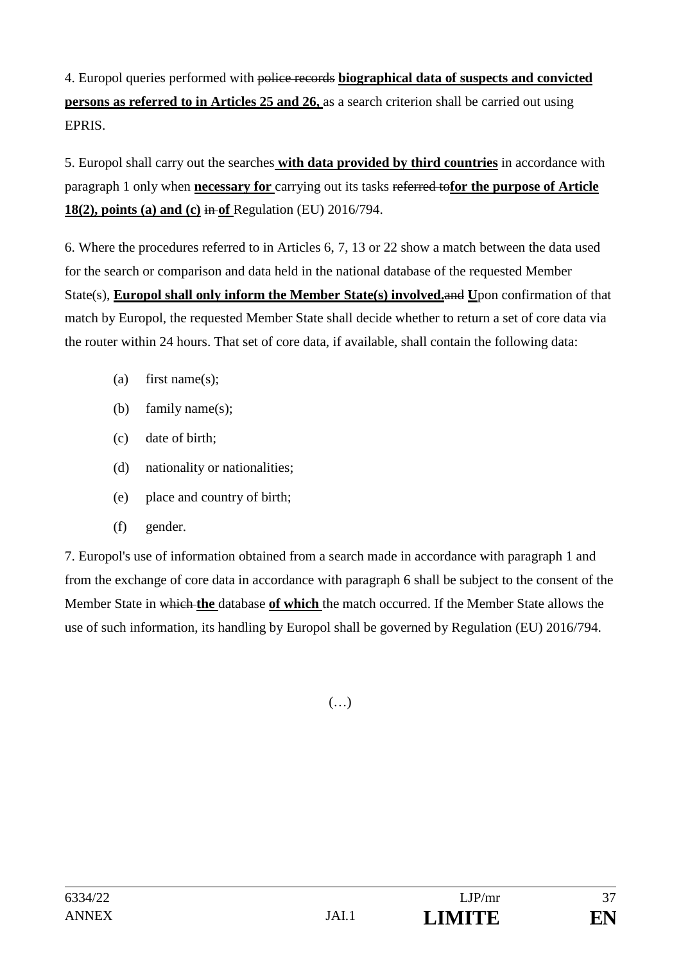4. Europol queries performed with police records **biographical data of suspects and convicted persons as referred to in Articles 25 and 26,** as a search criterion shall be carried out using EPRIS.

5. Europol shall carry out the searches **with data provided by third countries** in accordance with paragraph 1 only when **necessary for** carrying out its tasks referred to**for the purpose of Article 18(2), points (a) and (c)** in **of** Regulation (EU) 2016/794.

6. Where the procedures referred to in Articles 6, 7, 13 or 22 show a match between the data used for the search or comparison and data held in the national database of the requested Member State(s), **Europol shall only inform the Member State(s) involved.**and **U**pon confirmation of that match by Europol, the requested Member State shall decide whether to return a set of core data via the router within 24 hours. That set of core data, if available, shall contain the following data:

- (a) first name(s);
- (b) family name(s);
- (c) date of birth;
- (d) nationality or nationalities;
- (e) place and country of birth;
- (f) gender.

7. Europol's use of information obtained from a search made in accordance with paragraph 1 and from the exchange of core data in accordance with paragraph 6 shall be subject to the consent of the Member State in which **the** database **of which** the match occurred. If the Member State allows the use of such information, its handling by Europol shall be governed by Regulation (EU) 2016/794.

(…)

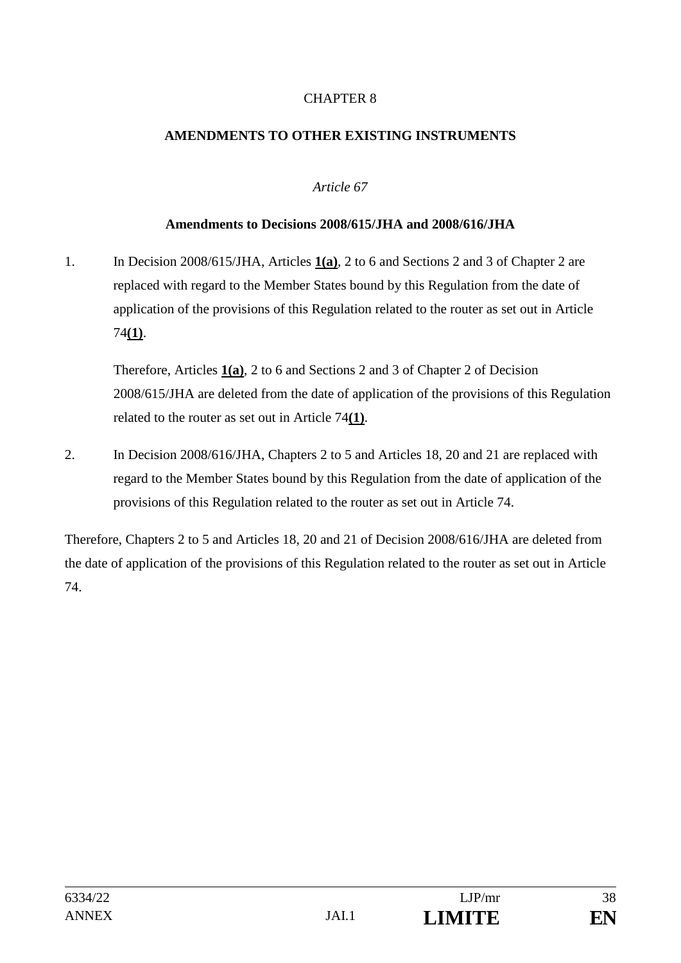### CHAPTER 8

### **AMENDMENTS TO OTHER EXISTING INSTRUMENTS**

#### *Article 67*

#### **Amendments to Decisions 2008/615/JHA and 2008/616/JHA**

1. In Decision 2008/615/JHA, Articles **1(a)**, 2 to 6 and Sections 2 and 3 of Chapter 2 are replaced with regard to the Member States bound by this Regulation from the date of application of the provisions of this Regulation related to the router as set out in Article 74**(1)**.

Therefore, Articles **1(a)**, 2 to 6 and Sections 2 and 3 of Chapter 2 of Decision 2008/615/JHA are deleted from the date of application of the provisions of this Regulation related to the router as set out in Article 74**(1)**.

2. In Decision 2008/616/JHA, Chapters 2 to 5 and Articles 18, 20 and 21 are replaced with regard to the Member States bound by this Regulation from the date of application of the provisions of this Regulation related to the router as set out in Article 74.

Therefore, Chapters 2 to 5 and Articles 18, 20 and 21 of Decision 2008/616/JHA are deleted from the date of application of the provisions of this Regulation related to the router as set out in Article 74.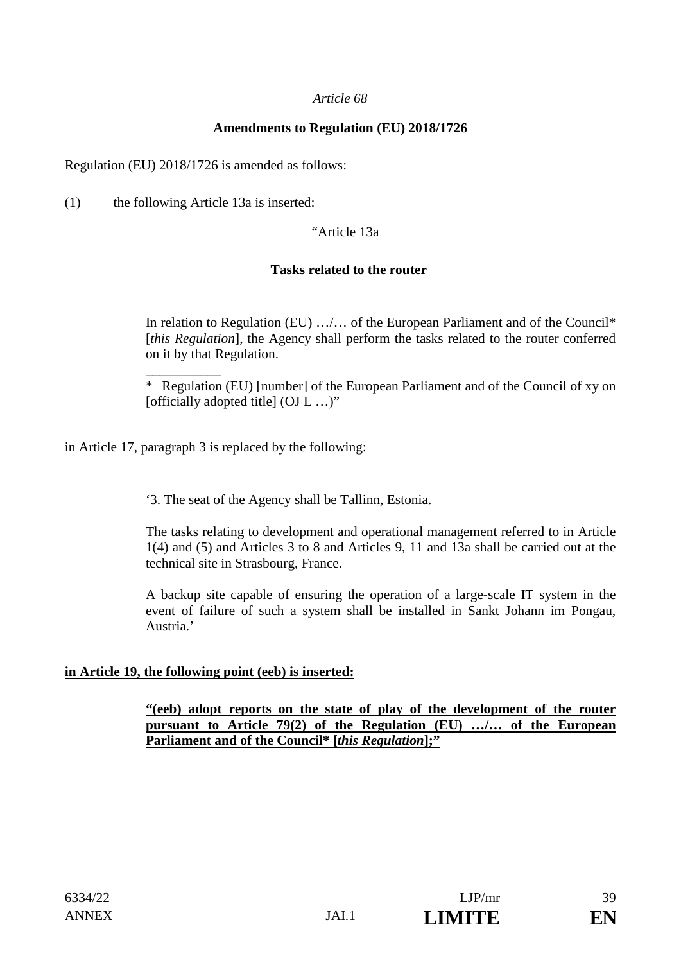#### **Amendments to Regulation (EU) 2018/1726**

Regulation (EU) 2018/1726 is amended as follows:

(1) the following Article 13a is inserted:

#### "Article 13a

#### **Tasks related to the router**

In relation to Regulation (EU) …/… of the European Parliament and of the Council\* [*this Regulation*], the Agency shall perform the tasks related to the router conferred on it by that Regulation.

\_\_\_\_\_\_\_\_\_\_\_ \* Regulation (EU) [number] of the European Parliament and of the Council of xy on [officially adopted title] (OJ L ...)"

in Article 17, paragraph 3 is replaced by the following:

'3. The seat of the Agency shall be Tallinn, Estonia.

The tasks relating to development and operational management referred to in Article 1(4) and (5) and Articles 3 to 8 and Articles 9, 11 and 13a shall be carried out at the technical site in Strasbourg, France.

A backup site capable of ensuring the operation of a large-scale IT system in the event of failure of such a system shall be installed in Sankt Johann im Pongau, Austria.'

#### **in Article 19, the following point (eeb) is inserted:**

**"(eeb) adopt reports on the state of play of the development of the router pursuant to Article 79(2) of the Regulation (EU) …/… of the European Parliament and of the Council\* [***this Regulation***];"**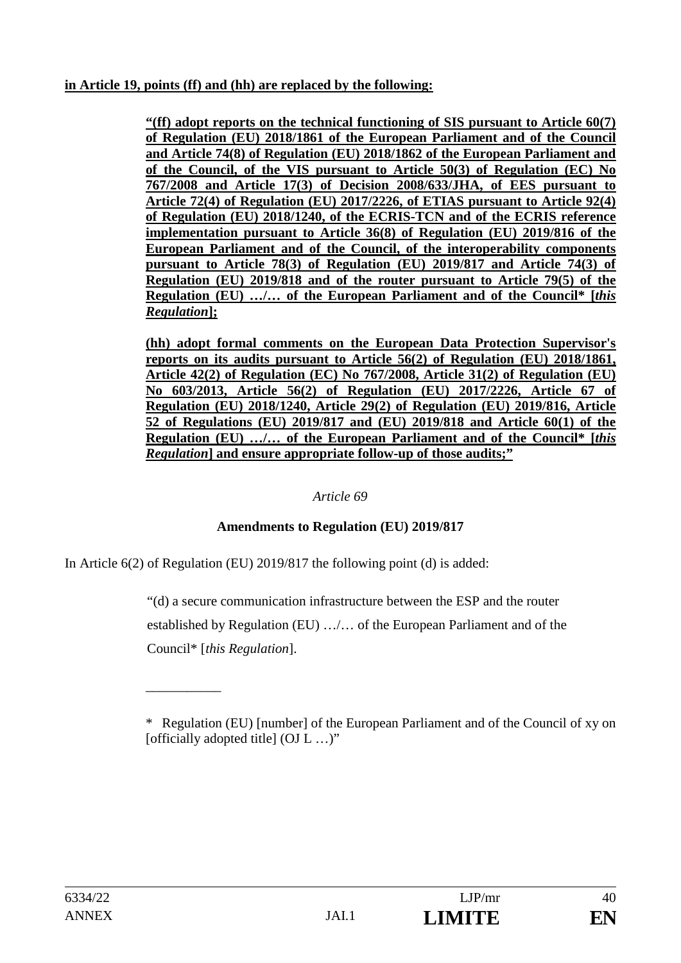### **in Article 19, points (ff) and (hh) are replaced by the following:**

**"(ff) adopt reports on the technical functioning of SIS pursuant to Article 60(7) of Regulation (EU) 2018/1861 of the European Parliament and of the Council and Article 74(8) of Regulation (EU) 2018/1862 of the European Parliament and of the Council, of the VIS pursuant to Article 50(3) of Regulation (EC) No 767/2008 and Article 17(3) of Decision 2008/633/JHA, of EES pursuant to Article 72(4) of Regulation (EU) 2017/2226, of ETIAS pursuant to Article 92(4) of Regulation (EU) 2018/1240, of the ECRIS-TCN and of the ECRIS reference implementation pursuant to Article 36(8) of Regulation (EU) 2019/816 of the European Parliament and of the Council, of the interoperability components pursuant to Article 78(3) of Regulation (EU) 2019/817 and Article 74(3) of Regulation (EU) 2019/818 and of the router pursuant to Article 79(5) of the Regulation (EU) …/… of the European Parliament and of the Council\* [***this Regulation***];** 

**(hh) adopt formal comments on the European Data Protection Supervisor's reports on its audits pursuant to Article 56(2) of Regulation (EU) 2018/1861, Article 42(2) of Regulation (EC) No 767/2008, Article 31(2) of Regulation (EU) No 603/2013, Article 56(2) of Regulation (EU) 2017/2226, Article 67 of Regulation (EU) 2018/1240, Article 29(2) of Regulation (EU) 2019/816, Article 52 of Regulations (EU) 2019/817 and (EU) 2019/818 and Article 60(1) of the Regulation (EU) …/… of the European Parliament and of the Council\* [***this Regulation***] and ensure appropriate follow-up of those audits;"**

### *Article 69*

### **Amendments to Regulation (EU) 2019/817**

In Article 6(2) of Regulation (EU) 2019/817 the following point (d) is added:

\_\_\_\_\_\_\_\_\_\_\_

"(d) a secure communication infrastructure between the ESP and the router established by Regulation (EU) …/… of the European Parliament and of the Council\* [*this Regulation*].

<sup>\*</sup> Regulation (EU) [number] of the European Parliament and of the Council of xy on [officially adopted title]  $(OJ L ... )$ "